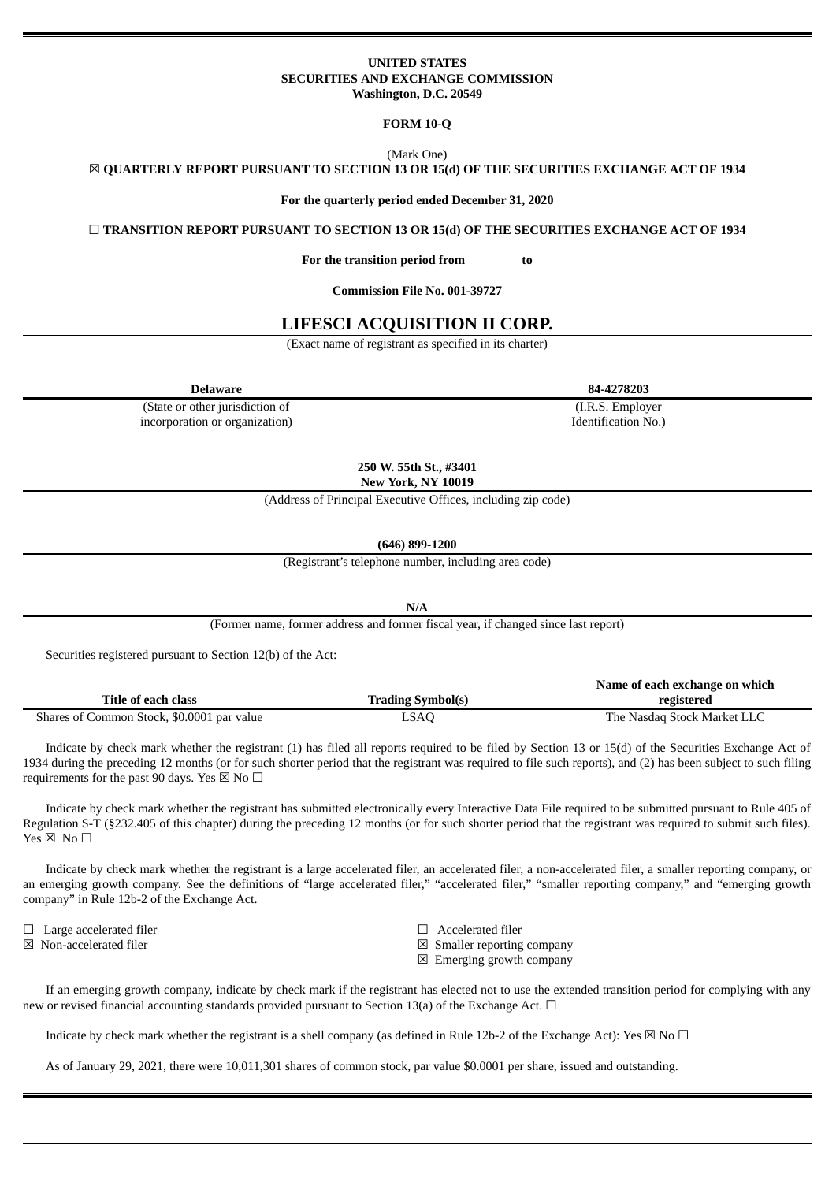## **UNITED STATES SECURITIES AND EXCHANGE COMMISSION Washington, D.C. 20549**

### **FORM 10-Q**

(Mark One)

☒ **QUARTERLY REPORT PURSUANT TO SECTION 13 OR 15(d) OF THE SECURITIES EXCHANGE ACT OF 1934**

**For the quarterly period ended December 31, 2020**

☐ **TRANSITION REPORT PURSUANT TO SECTION 13 OR 15(d) OF THE SECURITIES EXCHANGE ACT OF 1934**

**For the transition period from to**

**Commission File No. 001-39727**

# **LIFESCI ACQUISITION II CORP.**

(Exact name of registrant as specified in its charter)

(State or other jurisdiction of incorporation or organization)

**250 W. 55th St., #3401**

**New York, NY 10019**

(Address of Principal Executive Offices, including zip code)

**(646) 899-1200**

(Registrant's telephone number, including area code)

**N/A**

(Former name, former address and former fiscal year, if changed since last report)

Securities registered pursuant to Section 12(b) of the Act:

|                                            |                          | Name of each exchange on which |
|--------------------------------------------|--------------------------|--------------------------------|
| <b>Title of each class</b>                 | <b>Trading Symbol(s)</b> | registered                     |
| Shares of Common Stock, \$0.0001 par value | LSAQ                     | The Nasdag Stock Market LLC    |

Indicate by check mark whether the registrant (1) has filed all reports required to be filed by Section 13 or 15(d) of the Securities Exchange Act of 1934 during the preceding 12 months (or for such shorter period that the registrant was required to file such reports), and (2) has been subject to such filing requirements for the past 90 days. Yes  $\boxtimes$  No  $\Box$ 

Indicate by check mark whether the registrant has submitted electronically every Interactive Data File required to be submitted pursuant to Rule 405 of Regulation S-T (§232.405 of this chapter) during the preceding 12 months (or for such shorter period that the registrant was required to submit such files). Yes ⊠ No □

Indicate by check mark whether the registrant is a large accelerated filer, an accelerated filer, a non-accelerated filer, a smaller reporting company, or an emerging growth company. See the definitions of "large accelerated filer," "accelerated filer," "smaller reporting company," and "emerging growth company" in Rule 12b-2 of the Exchange Act.

☐ Large accelerated filer ☐ Accelerated filer

 $\boxtimes$  Non-accelerated filer  $\boxtimes$  Smaller reporting company

☒ Emerging growth company

If an emerging growth company, indicate by check mark if the registrant has elected not to use the extended transition period for complying with any new or revised financial accounting standards provided pursuant to Section 13(a) of the Exchange Act.  $\Box$ 

Indicate by check mark whether the registrant is a shell company (as defined in Rule 12b-2 of the Exchange Act): Yes  $\boxtimes$  No  $\Box$ 

As of January 29, 2021, there were 10,011,301 shares of common stock, par value \$0.0001 per share, issued and outstanding.

**Delaware 84-4278203** (I.R.S. Employer

Identification No.)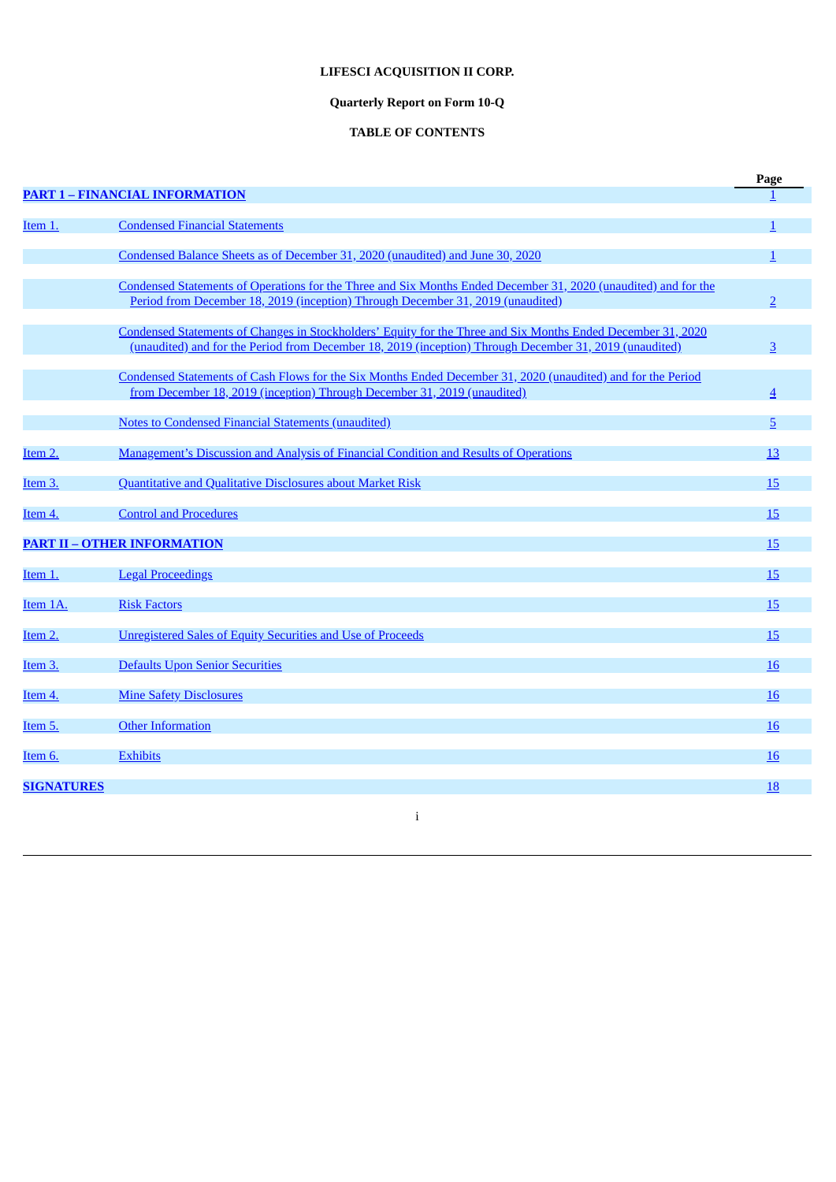# **LIFESCI ACQUISITION II CORP.**

# **Quarterly Report on Form 10-Q**

# **TABLE OF CONTENTS**

|                   |                                                                                                                                                                                                                         | Page           |
|-------------------|-------------------------------------------------------------------------------------------------------------------------------------------------------------------------------------------------------------------------|----------------|
|                   | <b>PART 1 - FINANCIAL INFORMATION</b>                                                                                                                                                                                   |                |
| Item 1.           | <b>Condensed Financial Statements</b>                                                                                                                                                                                   |                |
|                   |                                                                                                                                                                                                                         |                |
|                   | Condensed Balance Sheets as of December 31, 2020 (unaudited) and June 30, 2020                                                                                                                                          |                |
|                   | Condensed Statements of Operations for the Three and Six Months Ended December 31, 2020 (unaudited) and for the<br>Period from December 18, 2019 (inception) Through December 31, 2019 (unaudited)                      | $\overline{2}$ |
|                   | Condensed Statements of Changes in Stockholders' Equity for the Three and Six Months Ended December 31, 2020<br>(unaudited) and for the Period from December 18, 2019 (inception) Through December 31, 2019 (unaudited) | $\overline{3}$ |
|                   | Condensed Statements of Cash Flows for the Six Months Ended December 31, 2020 (unaudited) and for the Period<br>from December 18, 2019 (inception) Through December 31, 2019 (unaudited)                                | $\overline{4}$ |
|                   | <b>Notes to Condensed Financial Statements (unaudited)</b>                                                                                                                                                              | 5              |
| <u>Item 2.</u>    | <b>Management's Discussion and Analysis of Financial Condition and Results of Operations</b>                                                                                                                            | 13             |
| Item 3.           | <b>Quantitative and Qualitative Disclosures about Market Risk</b>                                                                                                                                                       | 15             |
| Item 4.           | <b>Control and Procedures</b>                                                                                                                                                                                           | 15             |
|                   | <b>PART II - OTHER INFORMATION</b>                                                                                                                                                                                      | 15             |
| Item 1.           | <b>Legal Proceedings</b>                                                                                                                                                                                                | 15             |
| Item 1A.          | <b>Risk Factors</b>                                                                                                                                                                                                     | <b>15</b>      |
| Item 2.           | <b>Unregistered Sales of Equity Securities and Use of Proceeds</b>                                                                                                                                                      | 15             |
| Item 3.           | Defaults Upon Senior Securities                                                                                                                                                                                         | 16             |
| Item 4.           | <b>Mine Safety Disclosures</b>                                                                                                                                                                                          | <b>16</b>      |
| Item 5.           | <b>Other Information</b>                                                                                                                                                                                                | <b>16</b>      |
| Item 6.           | <b>Exhibits</b>                                                                                                                                                                                                         | <b>16</b>      |
| <b>SIGNATURES</b> |                                                                                                                                                                                                                         | 18             |

i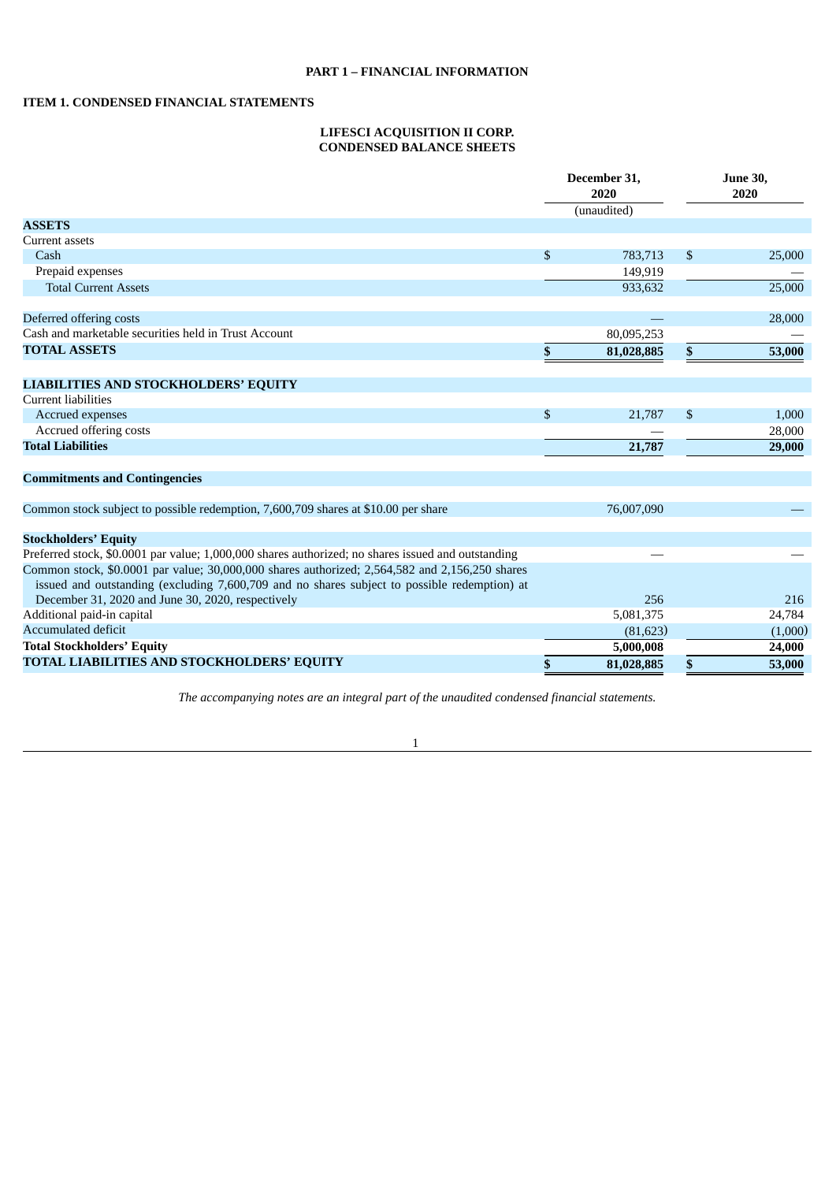# <span id="page-2-2"></span><span id="page-2-1"></span><span id="page-2-0"></span>**ITEM 1. CONDENSED FINANCIAL STATEMENTS**

### **LIFESCI ACQUISITION II CORP. CONDENSED BALANCE SHEETS**

|                                                                                                                                                                                                | December 31,<br>2020<br>(unaudited) |    | <b>June 30,</b><br>2020 |
|------------------------------------------------------------------------------------------------------------------------------------------------------------------------------------------------|-------------------------------------|----|-------------------------|
| <b>ASSETS</b>                                                                                                                                                                                  |                                     |    |                         |
| <b>Current assets</b>                                                                                                                                                                          |                                     |    |                         |
| Cash                                                                                                                                                                                           | \$<br>783,713                       | \$ | 25,000                  |
| Prepaid expenses                                                                                                                                                                               | 149,919                             |    |                         |
| <b>Total Current Assets</b>                                                                                                                                                                    | 933,632                             |    | 25,000                  |
| Deferred offering costs                                                                                                                                                                        |                                     |    | 28,000                  |
| Cash and marketable securities held in Trust Account                                                                                                                                           | 80,095,253                          |    |                         |
| <b>TOTAL ASSETS</b>                                                                                                                                                                            | \$<br>81,028,885                    | \$ | 53,000                  |
| <b>LIABILITIES AND STOCKHOLDERS' EQUITY</b>                                                                                                                                                    |                                     |    |                         |
| <b>Current liabilities</b>                                                                                                                                                                     |                                     |    |                         |
| Accrued expenses                                                                                                                                                                               | \$<br>21,787                        | \$ | 1,000                   |
| Accrued offering costs                                                                                                                                                                         |                                     |    | 28,000                  |
| <b>Total Liabilities</b>                                                                                                                                                                       | 21,787                              |    | 29,000                  |
| <b>Commitments and Contingencies</b>                                                                                                                                                           |                                     |    |                         |
| Common stock subject to possible redemption, 7,600,709 shares at \$10.00 per share                                                                                                             | 76,007,090                          |    |                         |
| <b>Stockholders' Equity</b>                                                                                                                                                                    |                                     |    |                         |
| Preferred stock, \$0.0001 par value; 1,000,000 shares authorized; no shares issued and outstanding                                                                                             |                                     |    |                         |
| Common stock, \$0.0001 par value; 30,000,000 shares authorized; 2,564,582 and 2,156,250 shares<br>issued and outstanding (excluding 7,600,709 and no shares subject to possible redemption) at |                                     |    |                         |
| December 31, 2020 and June 30, 2020, respectively                                                                                                                                              | 256                                 |    | 216                     |
| Additional paid-in capital                                                                                                                                                                     | 5,081,375                           |    | 24,784                  |
| <b>Accumulated deficit</b>                                                                                                                                                                     | (81, 623)                           |    | (1,000)                 |
| <b>Total Stockholders' Equity</b>                                                                                                                                                              | 5,000,008                           |    | 24,000                  |
| TOTAL LIABILITIES AND STOCKHOLDERS' EQUITY                                                                                                                                                     | \$<br>81,028,885                    | \$ | 53,000                  |

*The accompanying notes are an integral part of the unaudited condensed financial statements.*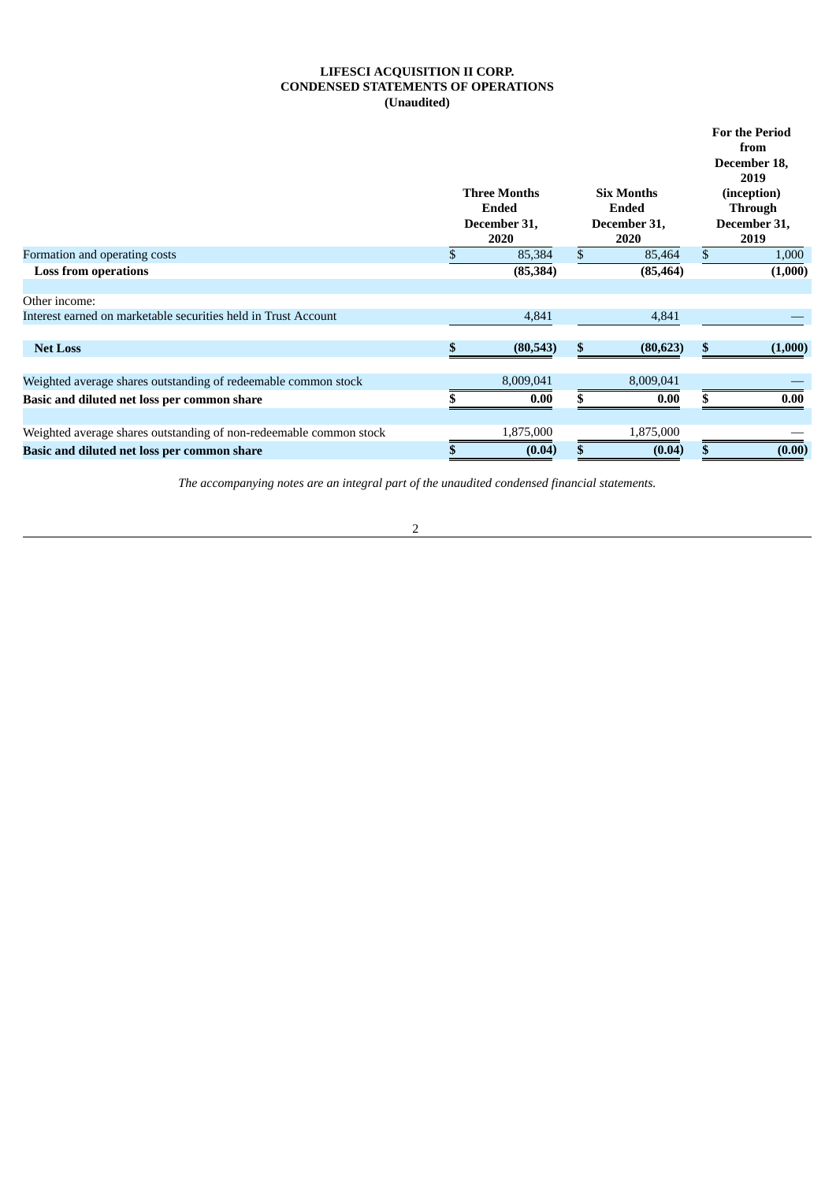# **LIFESCI ACQUISITION II CORP. CONDENSED STATEMENTS OF OPERATIONS (Unaudited)**

<span id="page-3-0"></span>

|                                                                    |                                                             |     |                                                           |    | <b>For the Period</b><br>from<br>December 18,<br>2019 |
|--------------------------------------------------------------------|-------------------------------------------------------------|-----|-----------------------------------------------------------|----|-------------------------------------------------------|
|                                                                    | <b>Three Months</b><br><b>Ended</b><br>December 31,<br>2020 |     | <b>Six Months</b><br><b>Ended</b><br>December 31,<br>2020 |    | (inception)<br><b>Through</b><br>December 31,<br>2019 |
| Formation and operating costs                                      | 85,384                                                      | \$  | 85,464                                                    | \$ | 1,000                                                 |
| <b>Loss from operations</b>                                        | (85, 384)                                                   |     | (85, 464)                                                 |    | (1,000)                                               |
| Other income:                                                      |                                                             |     |                                                           |    |                                                       |
| Interest earned on marketable securities held in Trust Account     | 4,841                                                       |     | 4,841                                                     |    |                                                       |
| <b>Net Loss</b>                                                    | (80,543)                                                    | \$. | (80, 623)                                                 | S. | (1,000)                                               |
| Weighted average shares outstanding of redeemable common stock     | 8,009,041                                                   |     | 8,009,041                                                 |    |                                                       |
| Basic and diluted net loss per common share                        | 0.00                                                        |     | 0.00                                                      |    | 0.00                                                  |
| Weighted average shares outstanding of non-redeemable common stock | 1,875,000                                                   |     | 1,875,000                                                 |    |                                                       |
| Basic and diluted net loss per common share                        | (0.04)                                                      |     | (0.04)                                                    |    | (0.00)                                                |

*The accompanying notes are an integral part of the unaudited condensed financial statements.*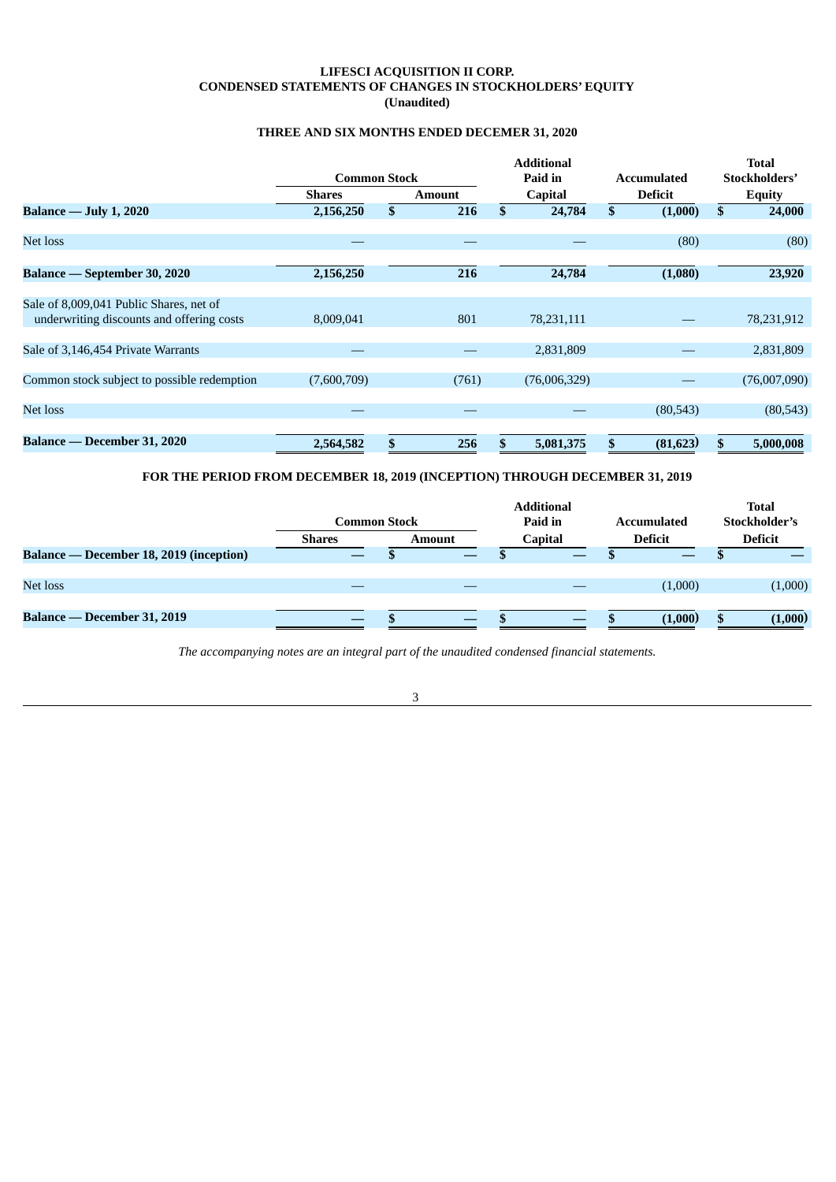# **LIFESCI ACQUISITION II CORP. CONDENSED STATEMENTS OF CHANGES IN STOCKHOLDERS' EQUITY (Unaudited)**

# **THREE AND SIX MONTHS ENDED DECEMER 31, 2020**

<span id="page-4-0"></span>

|                                             | <b>Common Stock</b> |              |               | <b>Additional</b><br>Paid in<br><b>Accumulated</b> |                |                |           |    | <b>Total</b><br>Stockholders' |
|---------------------------------------------|---------------------|--------------|---------------|----------------------------------------------------|----------------|----------------|-----------|----|-------------------------------|
|                                             | <b>Shares</b>       |              | <b>Amount</b> |                                                    | <b>Capital</b> | <b>Deficit</b> |           |    | <b>Equity</b>                 |
| <b>Balance — July 1, 2020</b>               | 2,156,250           | $\mathbf{s}$ | 216           | \$                                                 | 24,784         | \$             | (1,000)   | \$ | 24,000                        |
|                                             |                     |              |               |                                                    |                |                |           |    |                               |
| Net loss                                    |                     |              |               |                                                    |                |                | (80)      |    | (80)                          |
| <b>Balance — September 30, 2020</b>         | 2,156,250           |              | 216           |                                                    | 24,784         |                | (1,080)   |    | 23,920                        |
| Sale of 8,009,041 Public Shares, net of     |                     |              |               |                                                    |                |                |           |    |                               |
| underwriting discounts and offering costs   | 8,009,041           |              | 801           |                                                    | 78,231,111     |                |           |    | 78,231,912                    |
| Sale of 3,146,454 Private Warrants          |                     |              |               |                                                    | 2,831,809      |                |           |    | 2,831,809                     |
| Common stock subject to possible redemption | (7,600,709)         |              | (761)         |                                                    | (76,006,329)   |                |           |    | (76,007,090)                  |
| Net loss                                    |                     |              |               |                                                    |                |                | (80, 543) |    | (80, 543)                     |
| Balance — December 31, 2020                 | 2,564,582           | \$           | 256           |                                                    | 5,081,375      | \$             | (81, 623) |    | 5,000,008                     |

# **FOR THE PERIOD FROM DECEMBER 18, 2019 (INCEPTION) THROUGH DECEMBER 31, 2019**

|                                                | <b>Common Stock</b> |               |  | <b>Additional</b><br>Paid in | <b>Accumulated</b> | <b>Total</b><br>Stockholder's |
|------------------------------------------------|---------------------|---------------|--|------------------------------|--------------------|-------------------------------|
|                                                | <b>Shares</b>       | <b>Amount</b> |  | <b>Capital</b>               | <b>Deficit</b>     | <b>Deficit</b>                |
| <b>Balance — December 18, 2019 (inception)</b> |                     |               |  |                              |                    |                               |
|                                                |                     |               |  |                              |                    |                               |
| Net loss                                       |                     |               |  |                              | (1,000)            | (1,000)                       |
|                                                |                     |               |  |                              |                    |                               |
| Balance — December 31, 2019                    |                     |               |  |                              | (1.000)            | (1,000)                       |

*The accompanying notes are an integral part of the unaudited condensed financial statements.*

3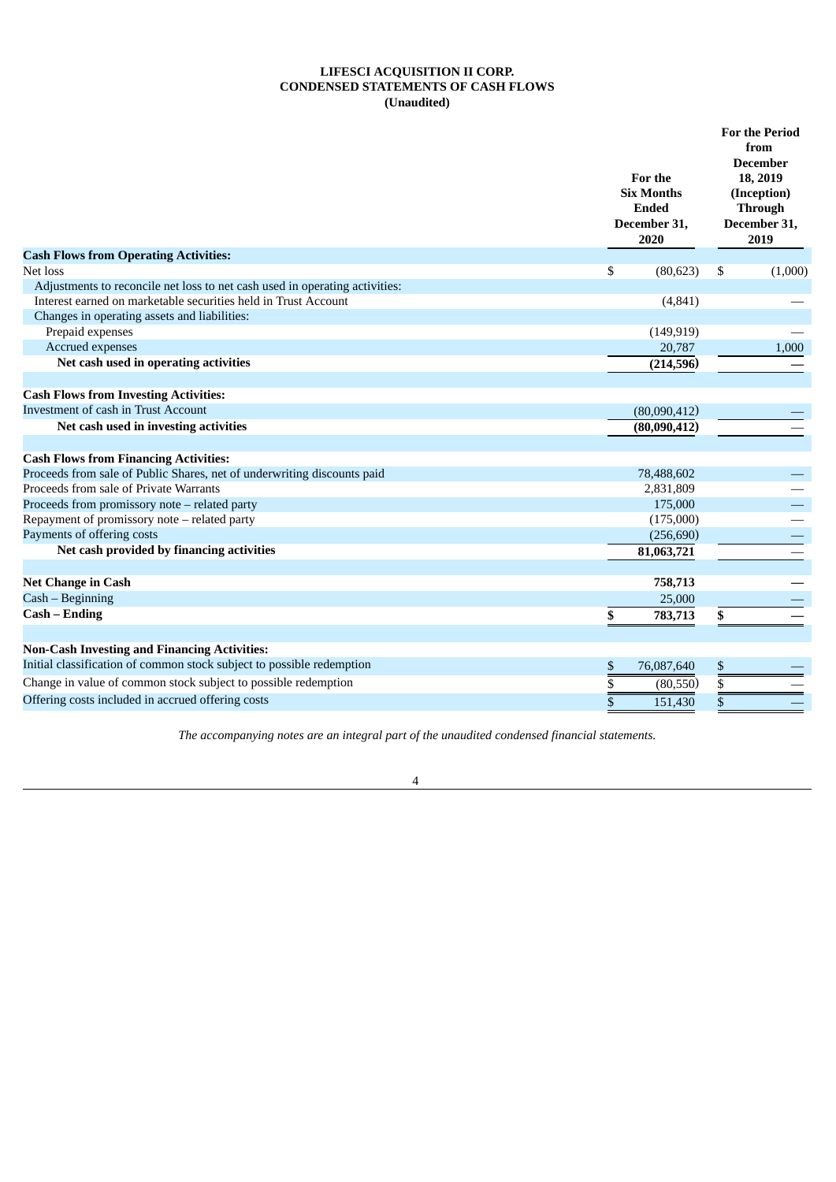# **LIFESCI ACQUISITION II CORP. CONDENSED STATEMENTS OF CASH FLOWS (Unaudited)**

<span id="page-5-0"></span>

|                                                                             | For the<br><b>Six Months</b><br><b>Ended</b><br>December 31,<br>2020 |                | <b>For the Period</b><br>from<br><b>December</b><br>18, 2019<br>(Inception)<br><b>Through</b><br>December 31,<br>2019 |  |
|-----------------------------------------------------------------------------|----------------------------------------------------------------------|----------------|-----------------------------------------------------------------------------------------------------------------------|--|
| <b>Cash Flows from Operating Activities:</b>                                |                                                                      |                |                                                                                                                       |  |
| Net loss                                                                    | \$<br>(80, 623)                                                      | \$             | (1,000)                                                                                                               |  |
| Adjustments to reconcile net loss to net cash used in operating activities: |                                                                      |                |                                                                                                                       |  |
| Interest earned on marketable securities held in Trust Account              | (4, 841)                                                             |                |                                                                                                                       |  |
| Changes in operating assets and liabilities:                                |                                                                      |                |                                                                                                                       |  |
| Prepaid expenses<br>Accrued expenses                                        | (149, 919)                                                           |                |                                                                                                                       |  |
|                                                                             | 20,787                                                               |                | 1,000                                                                                                                 |  |
| Net cash used in operating activities                                       | (214, 596)                                                           |                |                                                                                                                       |  |
| <b>Cash Flows from Investing Activities:</b>                                |                                                                      |                |                                                                                                                       |  |
| Investment of cash in Trust Account                                         | (80,090,412)                                                         |                |                                                                                                                       |  |
| Net cash used in investing activities                                       | (80,090,412)                                                         |                |                                                                                                                       |  |
|                                                                             |                                                                      |                |                                                                                                                       |  |
| <b>Cash Flows from Financing Activities:</b>                                |                                                                      |                |                                                                                                                       |  |
| Proceeds from sale of Public Shares, net of underwriting discounts paid     | 78,488,602                                                           |                |                                                                                                                       |  |
| Proceeds from sale of Private Warrants                                      | 2,831,809                                                            |                |                                                                                                                       |  |
| Proceeds from promissory note - related party                               | 175,000                                                              |                |                                                                                                                       |  |
| Repayment of promissory note - related party                                | (175,000)                                                            |                |                                                                                                                       |  |
| Payments of offering costs                                                  | (256, 690)                                                           |                |                                                                                                                       |  |
| Net cash provided by financing activities                                   | 81,063,721                                                           |                |                                                                                                                       |  |
| <b>Net Change in Cash</b>                                                   | 758,713                                                              |                |                                                                                                                       |  |
| Cash - Beginning                                                            |                                                                      |                |                                                                                                                       |  |
| Cash – Ending                                                               | 25,000                                                               |                |                                                                                                                       |  |
|                                                                             | \$<br>783,713                                                        | \$             |                                                                                                                       |  |
| <b>Non-Cash Investing and Financing Activities:</b>                         |                                                                      |                |                                                                                                                       |  |
| Initial classification of common stock subject to possible redemption       | \$<br>76,087,640                                                     | \$             |                                                                                                                       |  |
| Change in value of common stock subject to possible redemption              | \$<br>(80, 550)                                                      | $\overline{s}$ |                                                                                                                       |  |
| Offering costs included in accrued offering costs                           | $\bar{s}$<br>151,430                                                 | \$             |                                                                                                                       |  |

*The accompanying notes are an integral part of the unaudited condensed financial statements.*

4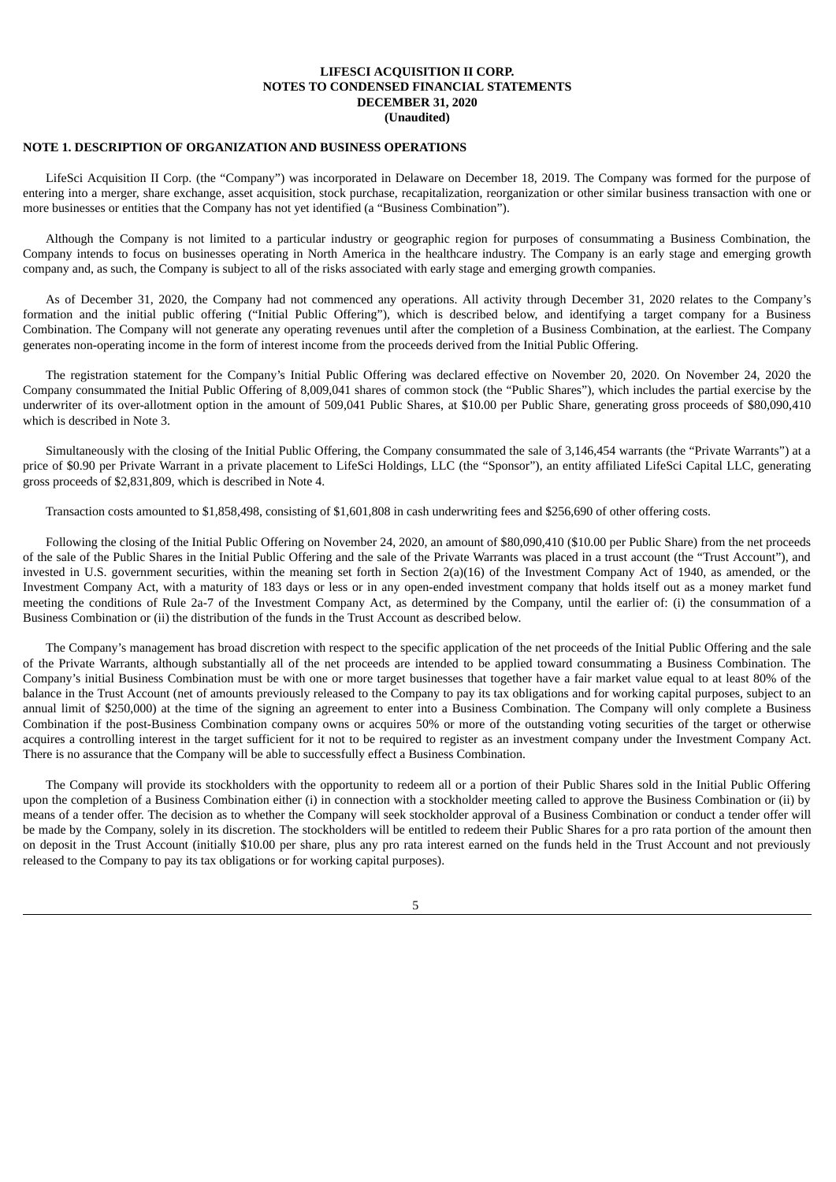# <span id="page-6-0"></span>**NOTE 1. DESCRIPTION OF ORGANIZATION AND BUSINESS OPERATIONS**

LifeSci Acquisition II Corp. (the "Company") was incorporated in Delaware on December 18, 2019. The Company was formed for the purpose of entering into a merger, share exchange, asset acquisition, stock purchase, recapitalization, reorganization or other similar business transaction with one or more businesses or entities that the Company has not yet identified (a "Business Combination").

Although the Company is not limited to a particular industry or geographic region for purposes of consummating a Business Combination, the Company intends to focus on businesses operating in North America in the healthcare industry. The Company is an early stage and emerging growth company and, as such, the Company is subject to all of the risks associated with early stage and emerging growth companies.

As of December 31, 2020, the Company had not commenced any operations. All activity through December 31, 2020 relates to the Company's formation and the initial public offering ("Initial Public Offering"), which is described below, and identifying a target company for a Business Combination. The Company will not generate any operating revenues until after the completion of a Business Combination, at the earliest. The Company generates non-operating income in the form of interest income from the proceeds derived from the Initial Public Offering.

The registration statement for the Company's Initial Public Offering was declared effective on November 20, 2020. On November 24, 2020 the Company consummated the Initial Public Offering of 8,009,041 shares of common stock (the "Public Shares"), which includes the partial exercise by the underwriter of its over-allotment option in the amount of 509,041 Public Shares, at \$10.00 per Public Share, generating gross proceeds of \$80,090,410 which is described in Note 3.

Simultaneously with the closing of the Initial Public Offering, the Company consummated the sale of 3,146,454 warrants (the "Private Warrants") at a price of \$0.90 per Private Warrant in a private placement to LifeSci Holdings, LLC (the "Sponsor"), an entity affiliated LifeSci Capital LLC, generating gross proceeds of \$2,831,809, which is described in Note 4.

Transaction costs amounted to \$1,858,498, consisting of \$1,601,808 in cash underwriting fees and \$256,690 of other offering costs.

Following the closing of the Initial Public Offering on November 24, 2020, an amount of \$80,090,410 (\$10.00 per Public Share) from the net proceeds of the sale of the Public Shares in the Initial Public Offering and the sale of the Private Warrants was placed in a trust account (the "Trust Account"), and invested in U.S. government securities, within the meaning set forth in Section 2(a)(16) of the Investment Company Act of 1940, as amended, or the Investment Company Act, with a maturity of 183 days or less or in any open-ended investment company that holds itself out as a money market fund meeting the conditions of Rule 2a-7 of the Investment Company Act, as determined by the Company, until the earlier of: (i) the consummation of a Business Combination or (ii) the distribution of the funds in the Trust Account as described below.

The Company's management has broad discretion with respect to the specific application of the net proceeds of the Initial Public Offering and the sale of the Private Warrants, although substantially all of the net proceeds are intended to be applied toward consummating a Business Combination. The Company's initial Business Combination must be with one or more target businesses that together have a fair market value equal to at least 80% of the balance in the Trust Account (net of amounts previously released to the Company to pay its tax obligations and for working capital purposes, subject to an annual limit of \$250,000) at the time of the signing an agreement to enter into a Business Combination. The Company will only complete a Business Combination if the post-Business Combination company owns or acquires 50% or more of the outstanding voting securities of the target or otherwise acquires a controlling interest in the target sufficient for it not to be required to register as an investment company under the Investment Company Act. There is no assurance that the Company will be able to successfully effect a Business Combination.

The Company will provide its stockholders with the opportunity to redeem all or a portion of their Public Shares sold in the Initial Public Offering upon the completion of a Business Combination either (i) in connection with a stockholder meeting called to approve the Business Combination or (ii) by means of a tender offer. The decision as to whether the Company will seek stockholder approval of a Business Combination or conduct a tender offer will be made by the Company, solely in its discretion. The stockholders will be entitled to redeem their Public Shares for a pro rata portion of the amount then on deposit in the Trust Account (initially \$10.00 per share, plus any pro rata interest earned on the funds held in the Trust Account and not previously released to the Company to pay its tax obligations or for working capital purposes).

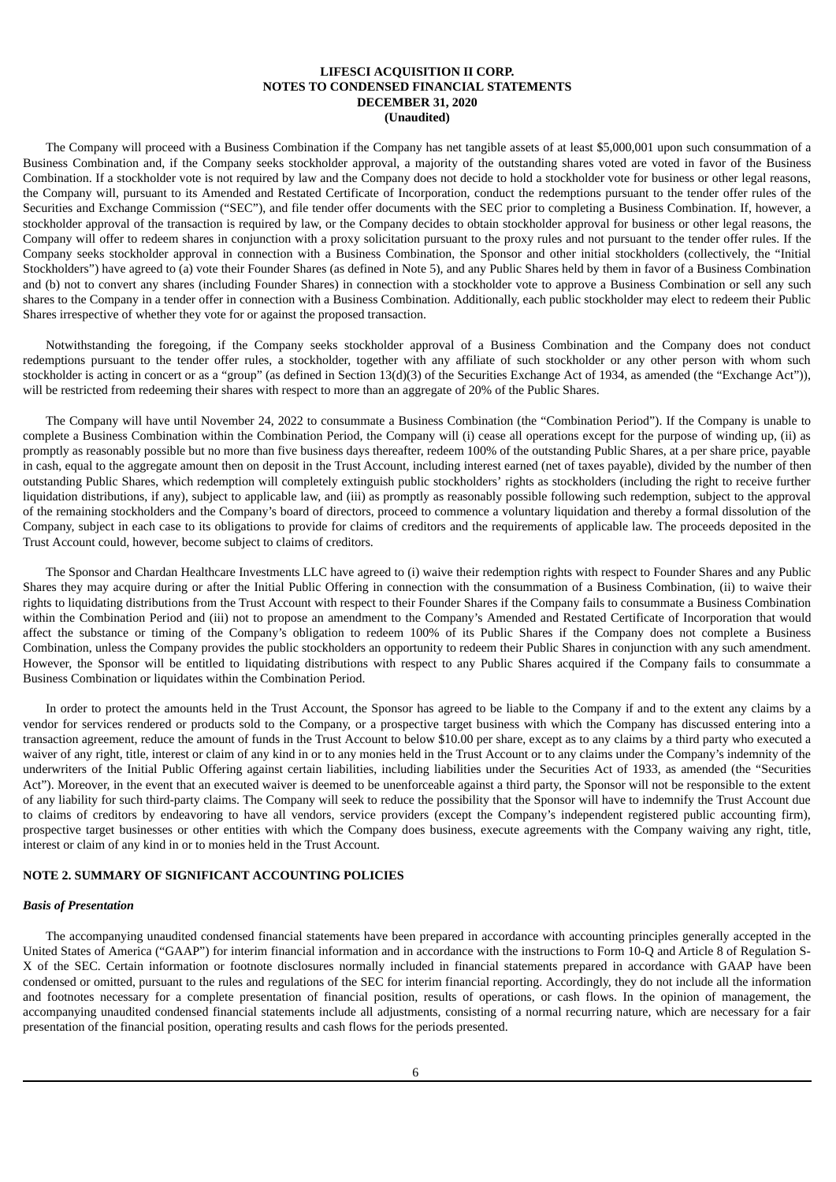The Company will proceed with a Business Combination if the Company has net tangible assets of at least \$5,000,001 upon such consummation of a Business Combination and, if the Company seeks stockholder approval, a majority of the outstanding shares voted are voted in favor of the Business Combination. If a stockholder vote is not required by law and the Company does not decide to hold a stockholder vote for business or other legal reasons, the Company will, pursuant to its Amended and Restated Certificate of Incorporation, conduct the redemptions pursuant to the tender offer rules of the Securities and Exchange Commission ("SEC"), and file tender offer documents with the SEC prior to completing a Business Combination. If, however, a stockholder approval of the transaction is required by law, or the Company decides to obtain stockholder approval for business or other legal reasons, the Company will offer to redeem shares in conjunction with a proxy solicitation pursuant to the proxy rules and not pursuant to the tender offer rules. If the Company seeks stockholder approval in connection with a Business Combination, the Sponsor and other initial stockholders (collectively, the "Initial Stockholders") have agreed to (a) vote their Founder Shares (as defined in Note 5), and any Public Shares held by them in favor of a Business Combination and (b) not to convert any shares (including Founder Shares) in connection with a stockholder vote to approve a Business Combination or sell any such shares to the Company in a tender offer in connection with a Business Combination. Additionally, each public stockholder may elect to redeem their Public Shares irrespective of whether they vote for or against the proposed transaction.

Notwithstanding the foregoing, if the Company seeks stockholder approval of a Business Combination and the Company does not conduct redemptions pursuant to the tender offer rules, a stockholder, together with any affiliate of such stockholder or any other person with whom such stockholder is acting in concert or as a "group" (as defined in Section 13(d)(3) of the Securities Exchange Act of 1934, as amended (the "Exchange Act")), will be restricted from redeeming their shares with respect to more than an aggregate of 20% of the Public Shares.

The Company will have until November 24, 2022 to consummate a Business Combination (the "Combination Period"). If the Company is unable to complete a Business Combination within the Combination Period, the Company will (i) cease all operations except for the purpose of winding up, (ii) as promptly as reasonably possible but no more than five business days thereafter, redeem 100% of the outstanding Public Shares, at a per share price, payable in cash, equal to the aggregate amount then on deposit in the Trust Account, including interest earned (net of taxes payable), divided by the number of then outstanding Public Shares, which redemption will completely extinguish public stockholders' rights as stockholders (including the right to receive further liquidation distributions, if any), subject to applicable law, and (iii) as promptly as reasonably possible following such redemption, subject to the approval of the remaining stockholders and the Company's board of directors, proceed to commence a voluntary liquidation and thereby a formal dissolution of the Company, subject in each case to its obligations to provide for claims of creditors and the requirements of applicable law. The proceeds deposited in the Trust Account could, however, become subject to claims of creditors.

The Sponsor and Chardan Healthcare Investments LLC have agreed to (i) waive their redemption rights with respect to Founder Shares and any Public Shares they may acquire during or after the Initial Public Offering in connection with the consummation of a Business Combination, (ii) to waive their rights to liquidating distributions from the Trust Account with respect to their Founder Shares if the Company fails to consummate a Business Combination within the Combination Period and (iii) not to propose an amendment to the Company's Amended and Restated Certificate of Incorporation that would affect the substance or timing of the Company's obligation to redeem 100% of its Public Shares if the Company does not complete a Business Combination, unless the Company provides the public stockholders an opportunity to redeem their Public Shares in conjunction with any such amendment. However, the Sponsor will be entitled to liquidating distributions with respect to any Public Shares acquired if the Company fails to consummate a Business Combination or liquidates within the Combination Period.

In order to protect the amounts held in the Trust Account, the Sponsor has agreed to be liable to the Company if and to the extent any claims by a vendor for services rendered or products sold to the Company, or a prospective target business with which the Company has discussed entering into a transaction agreement, reduce the amount of funds in the Trust Account to below \$10.00 per share, except as to any claims by a third party who executed a waiver of any right, title, interest or claim of any kind in or to any monies held in the Trust Account or to any claims under the Company's indemnity of the underwriters of the Initial Public Offering against certain liabilities, including liabilities under the Securities Act of 1933, as amended (the "Securities Act"). Moreover, in the event that an executed waiver is deemed to be unenforceable against a third party, the Sponsor will not be responsible to the extent of any liability for such third-party claims. The Company will seek to reduce the possibility that the Sponsor will have to indemnify the Trust Account due to claims of creditors by endeavoring to have all vendors, service providers (except the Company's independent registered public accounting firm), prospective target businesses or other entities with which the Company does business, execute agreements with the Company waiving any right, title, interest or claim of any kind in or to monies held in the Trust Account.

## **NOTE 2. SUMMARY OF SIGNIFICANT ACCOUNTING POLICIES**

#### *Basis of Presentation*

The accompanying unaudited condensed financial statements have been prepared in accordance with accounting principles generally accepted in the United States of America ("GAAP") for interim financial information and in accordance with the instructions to Form 10-Q and Article 8 of Regulation S-X of the SEC. Certain information or footnote disclosures normally included in financial statements prepared in accordance with GAAP have been condensed or omitted, pursuant to the rules and regulations of the SEC for interim financial reporting. Accordingly, they do not include all the information and footnotes necessary for a complete presentation of financial position, results of operations, or cash flows. In the opinion of management, the accompanying unaudited condensed financial statements include all adjustments, consisting of a normal recurring nature, which are necessary for a fair presentation of the financial position, operating results and cash flows for the periods presented.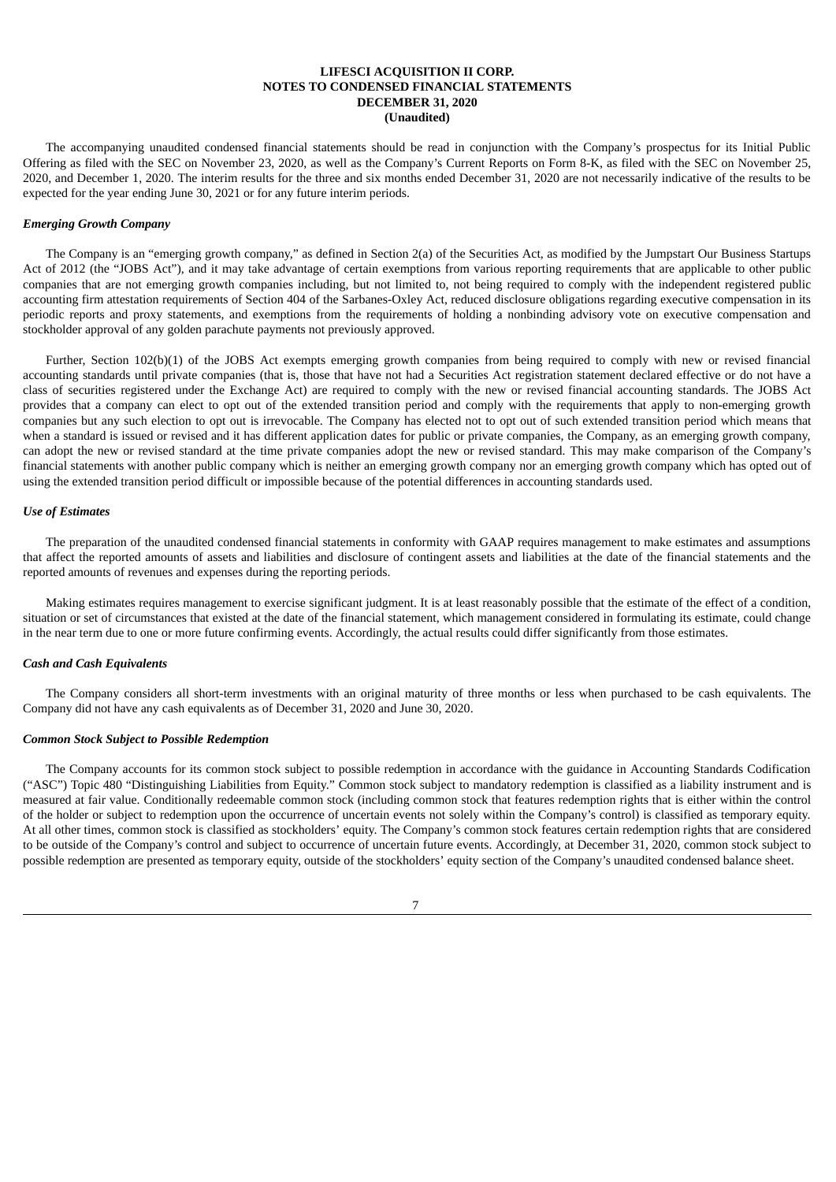The accompanying unaudited condensed financial statements should be read in conjunction with the Company's prospectus for its Initial Public Offering as filed with the SEC on November 23, 2020, as well as the Company's Current Reports on Form 8-K, as filed with the SEC on November 25, 2020, and December 1, 2020. The interim results for the three and six months ended December 31, 2020 are not necessarily indicative of the results to be expected for the year ending June 30, 2021 or for any future interim periods.

### *Emerging Growth Company*

The Company is an "emerging growth company," as defined in Section 2(a) of the Securities Act, as modified by the Jumpstart Our Business Startups Act of 2012 (the "JOBS Act"), and it may take advantage of certain exemptions from various reporting requirements that are applicable to other public companies that are not emerging growth companies including, but not limited to, not being required to comply with the independent registered public accounting firm attestation requirements of Section 404 of the Sarbanes-Oxley Act, reduced disclosure obligations regarding executive compensation in its periodic reports and proxy statements, and exemptions from the requirements of holding a nonbinding advisory vote on executive compensation and stockholder approval of any golden parachute payments not previously approved.

Further, Section 102(b)(1) of the JOBS Act exempts emerging growth companies from being required to comply with new or revised financial accounting standards until private companies (that is, those that have not had a Securities Act registration statement declared effective or do not have a class of securities registered under the Exchange Act) are required to comply with the new or revised financial accounting standards. The JOBS Act provides that a company can elect to opt out of the extended transition period and comply with the requirements that apply to non-emerging growth companies but any such election to opt out is irrevocable. The Company has elected not to opt out of such extended transition period which means that when a standard is issued or revised and it has different application dates for public or private companies, the Company, as an emerging growth company, can adopt the new or revised standard at the time private companies adopt the new or revised standard. This may make comparison of the Company's financial statements with another public company which is neither an emerging growth company nor an emerging growth company which has opted out of using the extended transition period difficult or impossible because of the potential differences in accounting standards used.

#### *Use of Estimates*

The preparation of the unaudited condensed financial statements in conformity with GAAP requires management to make estimates and assumptions that affect the reported amounts of assets and liabilities and disclosure of contingent assets and liabilities at the date of the financial statements and the reported amounts of revenues and expenses during the reporting periods.

Making estimates requires management to exercise significant judgment. It is at least reasonably possible that the estimate of the effect of a condition, situation or set of circumstances that existed at the date of the financial statement, which management considered in formulating its estimate, could change in the near term due to one or more future confirming events. Accordingly, the actual results could differ significantly from those estimates.

### *Cash and Cash Equivalents*

The Company considers all short-term investments with an original maturity of three months or less when purchased to be cash equivalents. The Company did not have any cash equivalents as of December 31, 2020 and June 30, 2020.

#### *Common Stock Subject to Possible Redemption*

The Company accounts for its common stock subject to possible redemption in accordance with the guidance in Accounting Standards Codification ("ASC") Topic 480 "Distinguishing Liabilities from Equity." Common stock subject to mandatory redemption is classified as a liability instrument and is measured at fair value. Conditionally redeemable common stock (including common stock that features redemption rights that is either within the control of the holder or subject to redemption upon the occurrence of uncertain events not solely within the Company's control) is classified as temporary equity. At all other times, common stock is classified as stockholders' equity. The Company's common stock features certain redemption rights that are considered to be outside of the Company's control and subject to occurrence of uncertain future events. Accordingly, at December 31, 2020, common stock subject to possible redemption are presented as temporary equity, outside of the stockholders' equity section of the Company's unaudited condensed balance sheet.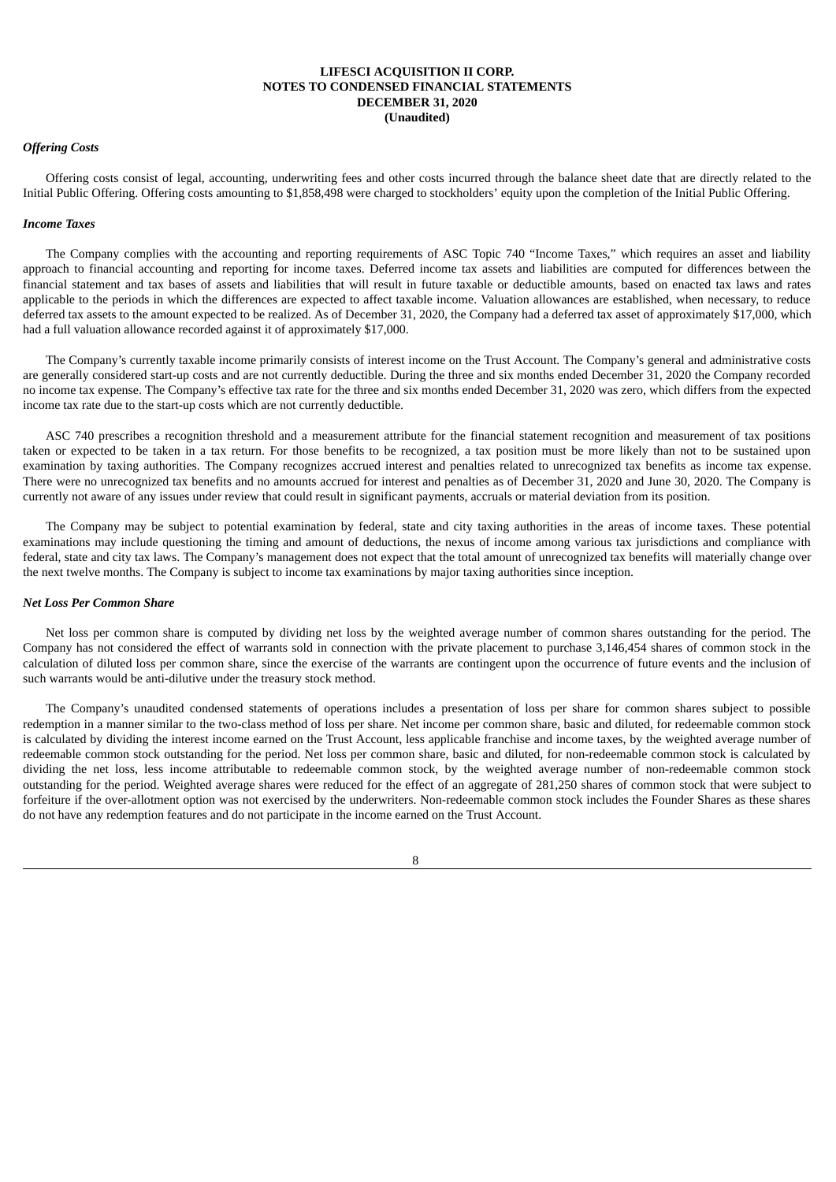## *Offering Costs*

Offering costs consist of legal, accounting, underwriting fees and other costs incurred through the balance sheet date that are directly related to the Initial Public Offering. Offering costs amounting to \$1,858,498 were charged to stockholders' equity upon the completion of the Initial Public Offering.

### *Income Taxes*

The Company complies with the accounting and reporting requirements of ASC Topic 740 "Income Taxes," which requires an asset and liability approach to financial accounting and reporting for income taxes. Deferred income tax assets and liabilities are computed for differences between the financial statement and tax bases of assets and liabilities that will result in future taxable or deductible amounts, based on enacted tax laws and rates applicable to the periods in which the differences are expected to affect taxable income. Valuation allowances are established, when necessary, to reduce deferred tax assets to the amount expected to be realized. As of December 31, 2020, the Company had a deferred tax asset of approximately \$17,000, which had a full valuation allowance recorded against it of approximately \$17,000.

The Company's currently taxable income primarily consists of interest income on the Trust Account. The Company's general and administrative costs are generally considered start-up costs and are not currently deductible. During the three and six months ended December 31, 2020 the Company recorded no income tax expense. The Company's effective tax rate for the three and six months ended December 31, 2020 was zero, which differs from the expected income tax rate due to the start-up costs which are not currently deductible.

ASC 740 prescribes a recognition threshold and a measurement attribute for the financial statement recognition and measurement of tax positions taken or expected to be taken in a tax return. For those benefits to be recognized, a tax position must be more likely than not to be sustained upon examination by taxing authorities. The Company recognizes accrued interest and penalties related to unrecognized tax benefits as income tax expense. There were no unrecognized tax benefits and no amounts accrued for interest and penalties as of December 31, 2020 and June 30, 2020. The Company is currently not aware of any issues under review that could result in significant payments, accruals or material deviation from its position.

The Company may be subject to potential examination by federal, state and city taxing authorities in the areas of income taxes. These potential examinations may include questioning the timing and amount of deductions, the nexus of income among various tax jurisdictions and compliance with federal, state and city tax laws. The Company's management does not expect that the total amount of unrecognized tax benefits will materially change over the next twelve months. The Company is subject to income tax examinations by major taxing authorities since inception.

#### *Net Loss Per Common Share*

Net loss per common share is computed by dividing net loss by the weighted average number of common shares outstanding for the period. The Company has not considered the effect of warrants sold in connection with the private placement to purchase 3,146,454 shares of common stock in the calculation of diluted loss per common share, since the exercise of the warrants are contingent upon the occurrence of future events and the inclusion of such warrants would be anti-dilutive under the treasury stock method.

The Company's unaudited condensed statements of operations includes a presentation of loss per share for common shares subject to possible redemption in a manner similar to the two-class method of loss per share. Net income per common share, basic and diluted, for redeemable common stock is calculated by dividing the interest income earned on the Trust Account, less applicable franchise and income taxes, by the weighted average number of redeemable common stock outstanding for the period. Net loss per common share, basic and diluted, for non-redeemable common stock is calculated by dividing the net loss, less income attributable to redeemable common stock, by the weighted average number of non-redeemable common stock outstanding for the period. Weighted average shares were reduced for the effect of an aggregate of 281,250 shares of common stock that were subject to forfeiture if the over-allotment option was not exercised by the underwriters. Non-redeemable common stock includes the Founder Shares as these shares do not have any redemption features and do not participate in the income earned on the Trust Account.

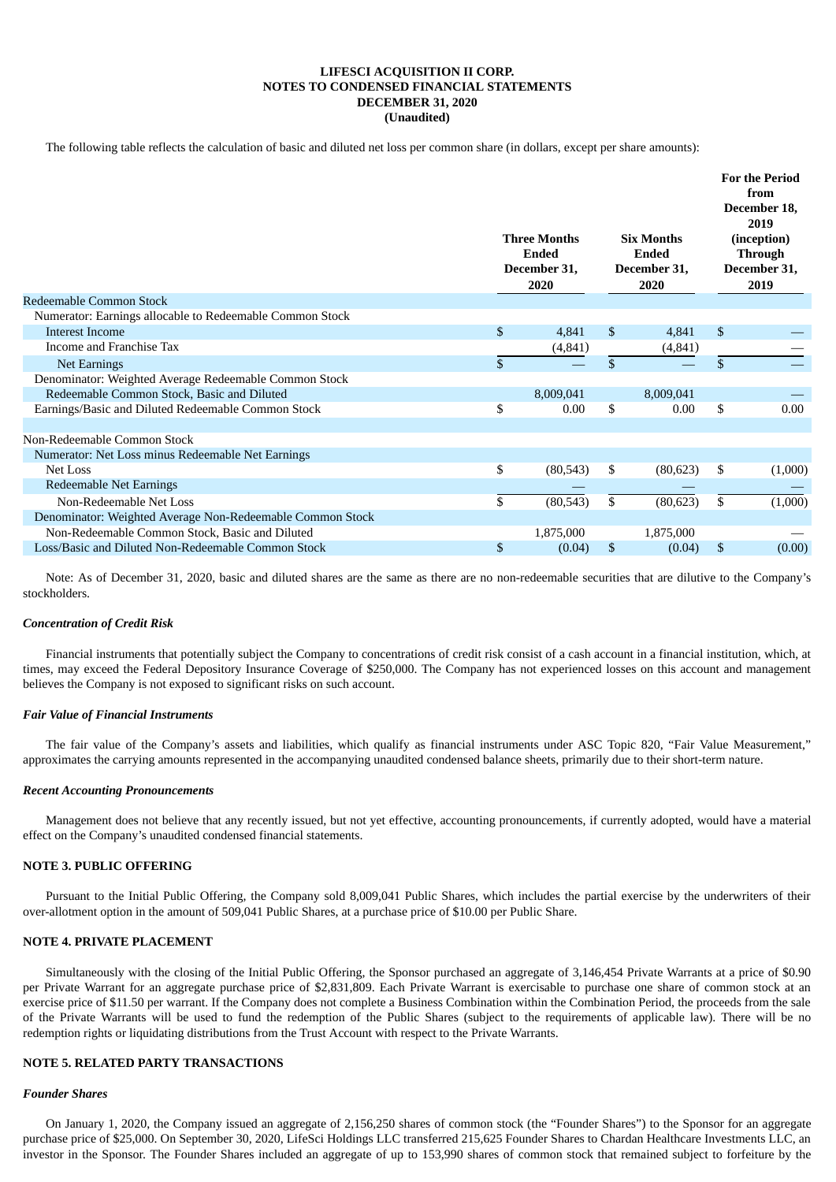The following table reflects the calculation of basic and diluted net loss per common share (in dollars, except per share amounts):

|                                                           |                | <b>Three Months</b><br><b>Ended</b><br>December 31,<br>2020 |              | <b>Six Months</b><br>Ended<br>December 31,<br>2020 | <b>For the Period</b><br>from<br>December 18,<br>2019<br>(inception)<br><b>Through</b><br>December 31,<br>2019 |
|-----------------------------------------------------------|----------------|-------------------------------------------------------------|--------------|----------------------------------------------------|----------------------------------------------------------------------------------------------------------------|
| Redeemable Common Stock                                   |                |                                                             |              |                                                    |                                                                                                                |
| Numerator: Earnings allocable to Redeemable Common Stock  |                |                                                             |              |                                                    |                                                                                                                |
| <b>Interest Income</b>                                    | $\mathfrak{S}$ | 4,841                                                       | \$           | 4,841                                              | \$                                                                                                             |
| Income and Franchise Tax                                  |                | (4, 841)                                                    |              | (4, 841)                                           |                                                                                                                |
| <b>Net Earnings</b>                                       | \$             |                                                             | $\mathbb{S}$ |                                                    | \$                                                                                                             |
| Denominator: Weighted Average Redeemable Common Stock     |                |                                                             |              |                                                    |                                                                                                                |
| Redeemable Common Stock, Basic and Diluted                |                | 8,009,041                                                   |              | 8,009,041                                          |                                                                                                                |
| Earnings/Basic and Diluted Redeemable Common Stock        | \$             | 0.00                                                        | \$           | 0.00                                               | \$<br>0.00                                                                                                     |
|                                                           |                |                                                             |              |                                                    |                                                                                                                |
| Non-Redeemable Common Stock                               |                |                                                             |              |                                                    |                                                                                                                |
| Numerator: Net Loss minus Redeemable Net Earnings         |                |                                                             |              |                                                    |                                                                                                                |
| Net Loss                                                  | \$             | (80, 543)                                                   | \$           | (80, 623)                                          | \$<br>(1,000)                                                                                                  |
| Redeemable Net Earnings                                   |                |                                                             |              |                                                    |                                                                                                                |
| Non-Redeemable Net Loss                                   | \$             | (80, 543)                                                   | \$           | (80, 623)                                          | \$<br>(1,000)                                                                                                  |
| Denominator: Weighted Average Non-Redeemable Common Stock |                |                                                             |              |                                                    |                                                                                                                |
| Non-Redeemable Common Stock, Basic and Diluted            |                | 1,875,000                                                   |              | 1,875,000                                          |                                                                                                                |
| Loss/Basic and Diluted Non-Redeemable Common Stock        | \$             | (0.04)                                                      | \$           | (0.04)                                             | \$<br>(0.00)                                                                                                   |

Note: As of December 31, 2020, basic and diluted shares are the same as there are no non-redeemable securities that are dilutive to the Company's stockholders.

### *Concentration of Credit Risk*

Financial instruments that potentially subject the Company to concentrations of credit risk consist of a cash account in a financial institution, which, at times, may exceed the Federal Depository Insurance Coverage of \$250,000. The Company has not experienced losses on this account and management believes the Company is not exposed to significant risks on such account.

### *Fair Value of Financial Instruments*

The fair value of the Company's assets and liabilities, which qualify as financial instruments under ASC Topic 820, "Fair Value Measurement," approximates the carrying amounts represented in the accompanying unaudited condensed balance sheets, primarily due to their short-term nature.

#### *Recent Accounting Pronouncements*

Management does not believe that any recently issued, but not yet effective, accounting pronouncements, if currently adopted, would have a material effect on the Company's unaudited condensed financial statements.

### **NOTE 3. PUBLIC OFFERING**

Pursuant to the Initial Public Offering, the Company sold 8,009,041 Public Shares, which includes the partial exercise by the underwriters of their over-allotment option in the amount of 509,041 Public Shares, at a purchase price of \$10.00 per Public Share.

### **NOTE 4. PRIVATE PLACEMENT**

Simultaneously with the closing of the Initial Public Offering, the Sponsor purchased an aggregate of 3,146,454 Private Warrants at a price of \$0.90 per Private Warrant for an aggregate purchase price of \$2,831,809. Each Private Warrant is exercisable to purchase one share of common stock at an exercise price of \$11.50 per warrant. If the Company does not complete a Business Combination within the Combination Period, the proceeds from the sale of the Private Warrants will be used to fund the redemption of the Public Shares (subject to the requirements of applicable law). There will be no redemption rights or liquidating distributions from the Trust Account with respect to the Private Warrants.

#### **NOTE 5. RELATED PARTY TRANSACTIONS**

#### *Founder Shares*

On January 1, 2020, the Company issued an aggregate of 2,156,250 shares of common stock (the "Founder Shares") to the Sponsor for an aggregate purchase price of \$25,000. On September 30, 2020, LifeSci Holdings LLC transferred 215,625 Founder Shares to Chardan Healthcare Investments LLC, an investor in the Sponsor. The Founder Shares included an aggregate of up to 153,990 shares of common stock that remained subject to forfeiture by the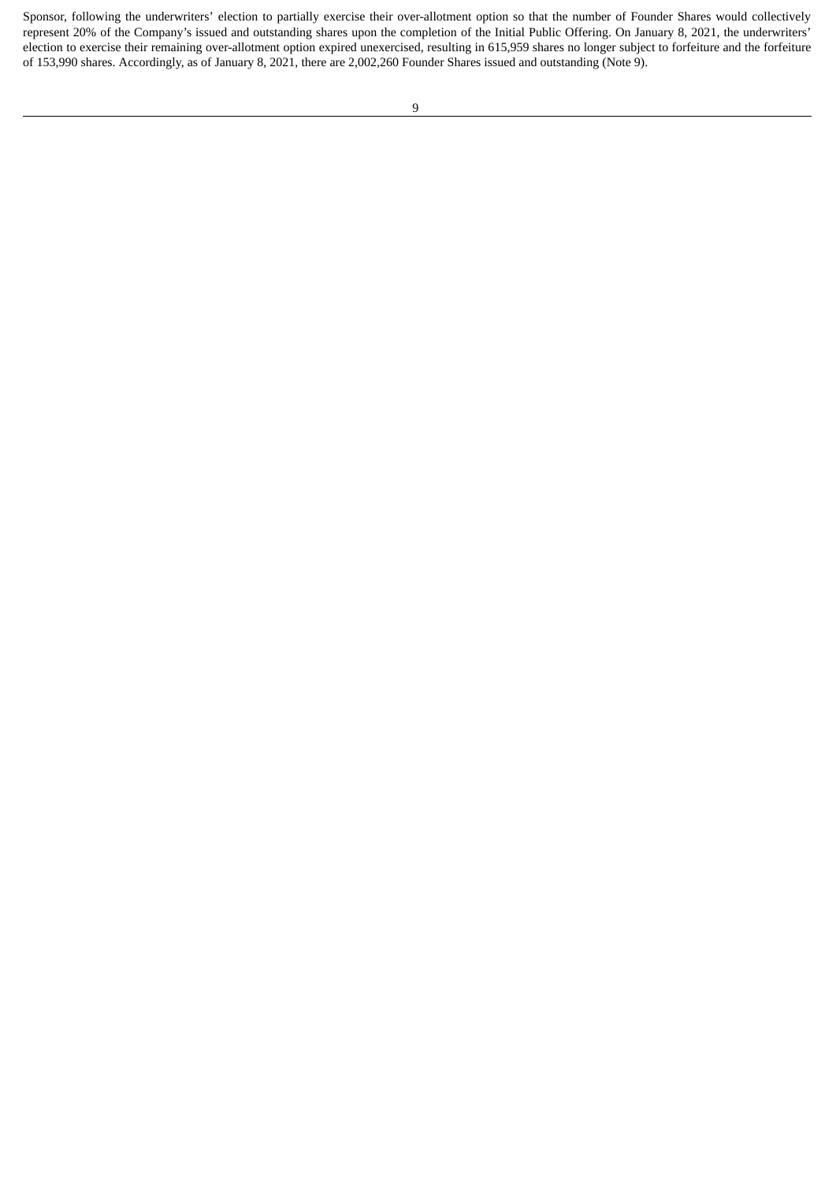Sponsor, following the underwriters' election to partially exercise their over-allotment option so that the number of Founder Shares would collectively represent 20% of the Company's issued and outstanding shares upon the completion of the Initial Public Offering. On January 8, 2021, the underwriters' election to exercise their remaining over-allotment option expired unexercised, resulting in 615,959 shares no longer subject to forfeiture and the forfeiture of 153,990 shares. Accordingly, as of January 8, 2021, there are 2,002,260 Founder Shares issued and outstanding (Note 9).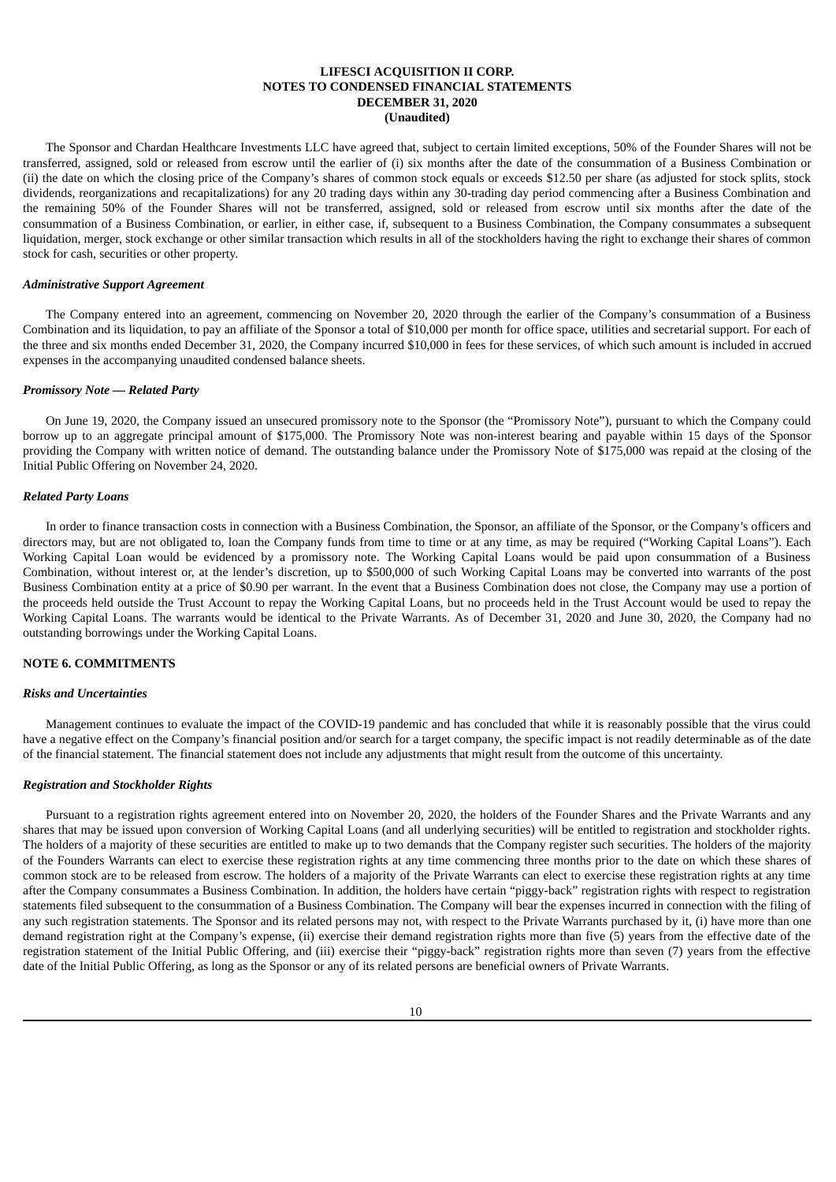The Sponsor and Chardan Healthcare Investments LLC have agreed that, subject to certain limited exceptions, 50% of the Founder Shares will not be transferred, assigned, sold or released from escrow until the earlier of (i) six months after the date of the consummation of a Business Combination or (ii) the date on which the closing price of the Company's shares of common stock equals or exceeds \$12.50 per share (as adjusted for stock splits, stock dividends, reorganizations and recapitalizations) for any 20 trading days within any 30-trading day period commencing after a Business Combination and the remaining 50% of the Founder Shares will not be transferred, assigned, sold or released from escrow until six months after the date of the consummation of a Business Combination, or earlier, in either case, if, subsequent to a Business Combination, the Company consummates a subsequent liquidation, merger, stock exchange or other similar transaction which results in all of the stockholders having the right to exchange their shares of common stock for cash, securities or other property.

### *Administrative Support Agreement*

The Company entered into an agreement, commencing on November 20, 2020 through the earlier of the Company's consummation of a Business Combination and its liquidation, to pay an affiliate of the Sponsor a total of \$10,000 per month for office space, utilities and secretarial support. For each of the three and six months ended December 31, 2020, the Company incurred \$10,000 in fees for these services, of which such amount is included in accrued expenses in the accompanying unaudited condensed balance sheets.

### *Promissory Note — Related Party*

On June 19, 2020, the Company issued an unsecured promissory note to the Sponsor (the "Promissory Note"), pursuant to which the Company could borrow up to an aggregate principal amount of \$175,000. The Promissory Note was non-interest bearing and payable within 15 days of the Sponsor providing the Company with written notice of demand. The outstanding balance under the Promissory Note of \$175,000 was repaid at the closing of the Initial Public Offering on November 24, 2020.

## *Related Party Loans*

In order to finance transaction costs in connection with a Business Combination, the Sponsor, an affiliate of the Sponsor, or the Company's officers and directors may, but are not obligated to, loan the Company funds from time to time or at any time, as may be required ("Working Capital Loans"). Each Working Capital Loan would be evidenced by a promissory note. The Working Capital Loans would be paid upon consummation of a Business Combination, without interest or, at the lender's discretion, up to \$500,000 of such Working Capital Loans may be converted into warrants of the post Business Combination entity at a price of \$0.90 per warrant. In the event that a Business Combination does not close, the Company may use a portion of the proceeds held outside the Trust Account to repay the Working Capital Loans, but no proceeds held in the Trust Account would be used to repay the Working Capital Loans. The warrants would be identical to the Private Warrants. As of December 31, 2020 and June 30, 2020, the Company had no outstanding borrowings under the Working Capital Loans.

### **NOTE 6. COMMITMENTS**

#### *Risks and Uncertainties*

Management continues to evaluate the impact of the COVID-19 pandemic and has concluded that while it is reasonably possible that the virus could have a negative effect on the Company's financial position and/or search for a target company, the specific impact is not readily determinable as of the date of the financial statement. The financial statement does not include any adjustments that might result from the outcome of this uncertainty.

#### *Registration and Stockholder Rights*

Pursuant to a registration rights agreement entered into on November 20, 2020, the holders of the Founder Shares and the Private Warrants and any shares that may be issued upon conversion of Working Capital Loans (and all underlying securities) will be entitled to registration and stockholder rights. The holders of a majority of these securities are entitled to make up to two demands that the Company register such securities. The holders of the majority of the Founders Warrants can elect to exercise these registration rights at any time commencing three months prior to the date on which these shares of common stock are to be released from escrow. The holders of a majority of the Private Warrants can elect to exercise these registration rights at any time after the Company consummates a Business Combination. In addition, the holders have certain "piggy-back" registration rights with respect to registration statements filed subsequent to the consummation of a Business Combination. The Company will bear the expenses incurred in connection with the filing of any such registration statements. The Sponsor and its related persons may not, with respect to the Private Warrants purchased by it, (i) have more than one demand registration right at the Company's expense, (ii) exercise their demand registration rights more than five (5) years from the effective date of the registration statement of the Initial Public Offering, and (iii) exercise their "piggy-back" registration rights more than seven (7) years from the effective date of the Initial Public Offering, as long as the Sponsor or any of its related persons are beneficial owners of Private Warrants.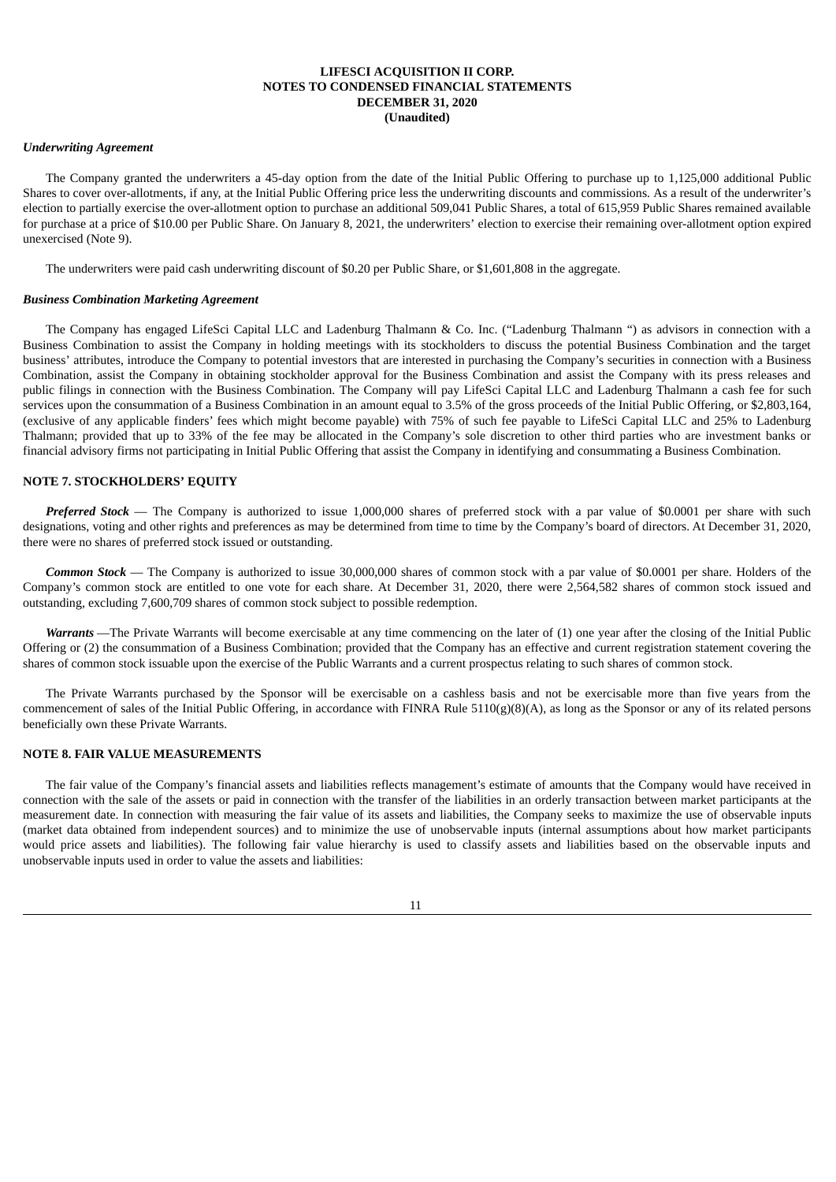## *Underwriting Agreement*

The Company granted the underwriters a 45-day option from the date of the Initial Public Offering to purchase up to 1,125,000 additional Public Shares to cover over-allotments, if any, at the Initial Public Offering price less the underwriting discounts and commissions. As a result of the underwriter's election to partially exercise the over-allotment option to purchase an additional 509,041 Public Shares, a total of 615,959 Public Shares remained available for purchase at a price of \$10.00 per Public Share. On January 8, 2021, the underwriters' election to exercise their remaining over-allotment option expired unexercised (Note 9).

The underwriters were paid cash underwriting discount of \$0.20 per Public Share, or \$1,601,808 in the aggregate.

### *Business Combination Marketing Agreement*

The Company has engaged LifeSci Capital LLC and Ladenburg Thalmann & Co. Inc. ("Ladenburg Thalmann ") as advisors in connection with a Business Combination to assist the Company in holding meetings with its stockholders to discuss the potential Business Combination and the target business' attributes, introduce the Company to potential investors that are interested in purchasing the Company's securities in connection with a Business Combination, assist the Company in obtaining stockholder approval for the Business Combination and assist the Company with its press releases and public filings in connection with the Business Combination. The Company will pay LifeSci Capital LLC and Ladenburg Thalmann a cash fee for such services upon the consummation of a Business Combination in an amount equal to 3.5% of the gross proceeds of the Initial Public Offering, or \$2,803,164, (exclusive of any applicable finders' fees which might become payable) with 75% of such fee payable to LifeSci Capital LLC and 25% to Ladenburg Thalmann; provided that up to 33% of the fee may be allocated in the Company's sole discretion to other third parties who are investment banks or financial advisory firms not participating in Initial Public Offering that assist the Company in identifying and consummating a Business Combination.

### **NOTE 7. STOCKHOLDERS' EQUITY**

*Preferred Stock* — The Company is authorized to issue 1,000,000 shares of preferred stock with a par value of \$0.0001 per share with such designations, voting and other rights and preferences as may be determined from time to time by the Company's board of directors. At December 31, 2020, there were no shares of preferred stock issued or outstanding.

*Common Stock* — The Company is authorized to issue 30,000,000 shares of common stock with a par value of \$0.0001 per share. Holders of the Company's common stock are entitled to one vote for each share. At December 31, 2020, there were 2,564,582 shares of common stock issued and outstanding, excluding 7,600,709 shares of common stock subject to possible redemption.

*Warrants* —The Private Warrants will become exercisable at any time commencing on the later of (1) one year after the closing of the Initial Public Offering or (2) the consummation of a Business Combination; provided that the Company has an effective and current registration statement covering the shares of common stock issuable upon the exercise of the Public Warrants and a current prospectus relating to such shares of common stock.

The Private Warrants purchased by the Sponsor will be exercisable on a cashless basis and not be exercisable more than five years from the commencement of sales of the Initial Public Offering, in accordance with FINRA Rule 5110(g)(8)(A), as long as the Sponsor or any of its related persons beneficially own these Private Warrants.

### **NOTE 8. FAIR VALUE MEASUREMENTS**

The fair value of the Company's financial assets and liabilities reflects management's estimate of amounts that the Company would have received in connection with the sale of the assets or paid in connection with the transfer of the liabilities in an orderly transaction between market participants at the measurement date. In connection with measuring the fair value of its assets and liabilities, the Company seeks to maximize the use of observable inputs (market data obtained from independent sources) and to minimize the use of unobservable inputs (internal assumptions about how market participants would price assets and liabilities). The following fair value hierarchy is used to classify assets and liabilities based on the observable inputs and unobservable inputs used in order to value the assets and liabilities: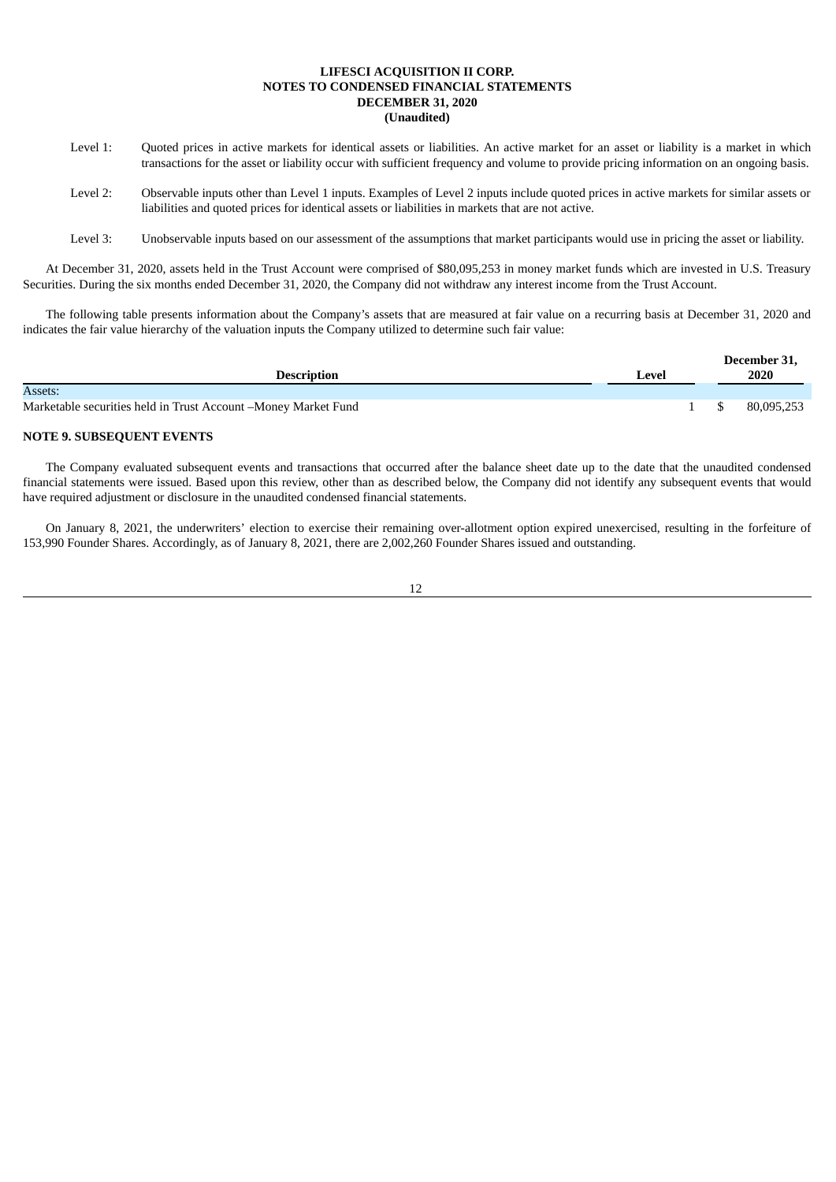- Level 1: Quoted prices in active markets for identical assets or liabilities. An active market for an asset or liability is a market in which transactions for the asset or liability occur with sufficient frequency and volume to provide pricing information on an ongoing basis.
- Level 2: Observable inputs other than Level 1 inputs. Examples of Level 2 inputs include quoted prices in active markets for similar assets or liabilities and quoted prices for identical assets or liabilities in markets that are not active.

Level 3: Unobservable inputs based on our assessment of the assumptions that market participants would use in pricing the asset or liability.

At December 31, 2020, assets held in the Trust Account were comprised of \$80,095,253 in money market funds which are invested in U.S. Treasury Securities. During the six months ended December 31, 2020, the Company did not withdraw any interest income from the Trust Account.

The following table presents information about the Company's assets that are measured at fair value on a recurring basis at December 31, 2020 and indicates the fair value hierarchy of the valuation inputs the Company utilized to determine such fair value:

|                                                                 |       | December 31, |
|-----------------------------------------------------------------|-------|--------------|
| <b>Description</b>                                              | ∟evel | 2020         |
| Assets:                                                         |       |              |
| Marketable securities held in Trust Account – Money Market Fund |       | 80,095,253   |

# **NOTE 9. SUBSEQUENT EVENTS**

The Company evaluated subsequent events and transactions that occurred after the balance sheet date up to the date that the unaudited condensed financial statements were issued. Based upon this review, other than as described below, the Company did not identify any subsequent events that would have required adjustment or disclosure in the unaudited condensed financial statements.

On January 8, 2021, the underwriters' election to exercise their remaining over-allotment option expired unexercised, resulting in the forfeiture of 153,990 Founder Shares. Accordingly, as of January 8, 2021, there are 2,002,260 Founder Shares issued and outstanding.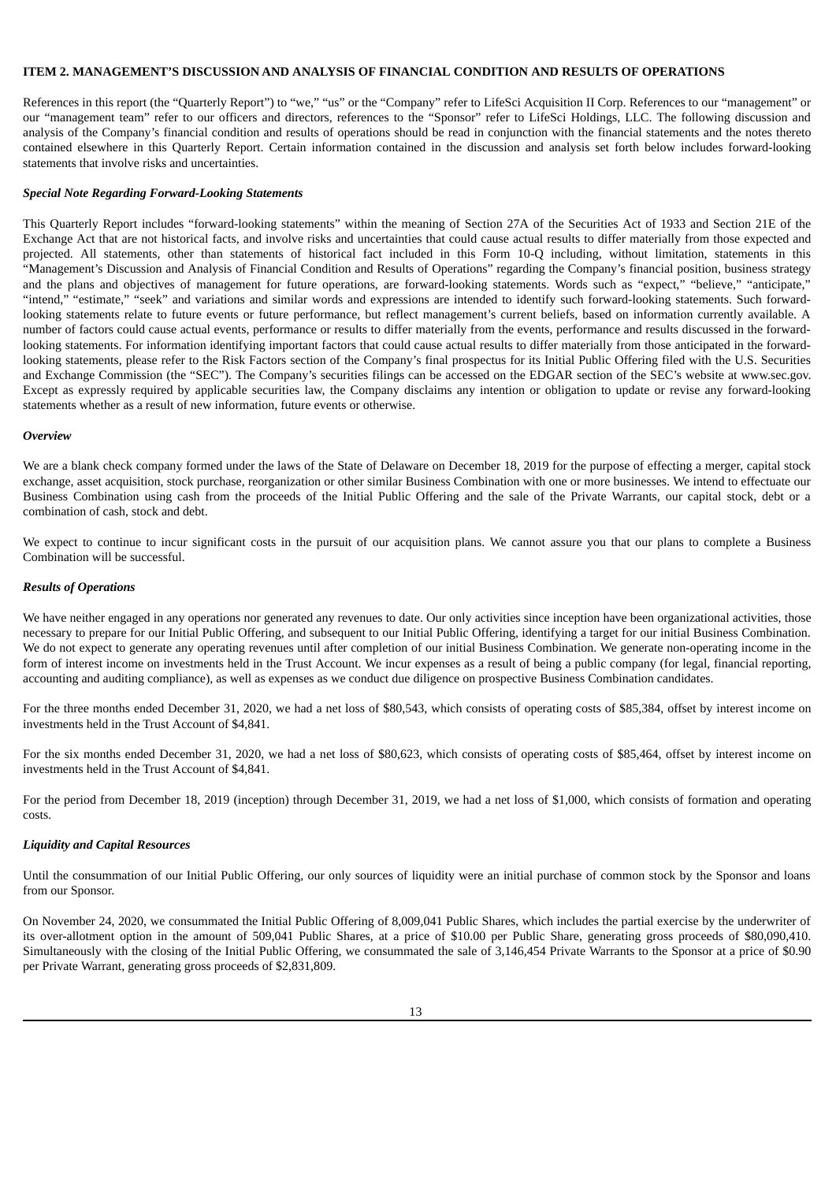# <span id="page-15-0"></span>**ITEM 2. MANAGEMENT'S DISCUSSION AND ANALYSIS OF FINANCIAL CONDITION AND RESULTS OF OPERATIONS**

References in this report (the "Quarterly Report") to "we," "us" or the "Company" refer to LifeSci Acquisition II Corp. References to our "management" or our "management team" refer to our officers and directors, references to the "Sponsor" refer to LifeSci Holdings, LLC. The following discussion and analysis of the Company's financial condition and results of operations should be read in conjunction with the financial statements and the notes thereto contained elsewhere in this Quarterly Report. Certain information contained in the discussion and analysis set forth below includes forward-looking statements that involve risks and uncertainties.

### *Special Note Regarding Forward-Looking Statements*

This Quarterly Report includes "forward-looking statements" within the meaning of Section 27A of the Securities Act of 1933 and Section 21E of the Exchange Act that are not historical facts, and involve risks and uncertainties that could cause actual results to differ materially from those expected and projected. All statements, other than statements of historical fact included in this Form 10-Q including, without limitation, statements in this "Management's Discussion and Analysis of Financial Condition and Results of Operations" regarding the Company's financial position, business strategy and the plans and objectives of management for future operations, are forward-looking statements. Words such as "expect," "believe," "anticipate," "intend," "estimate," "seek" and variations and similar words and expressions are intended to identify such forward-looking statements. Such forwardlooking statements relate to future events or future performance, but reflect management's current beliefs, based on information currently available. A number of factors could cause actual events, performance or results to differ materially from the events, performance and results discussed in the forwardlooking statements. For information identifying important factors that could cause actual results to differ materially from those anticipated in the forwardlooking statements, please refer to the Risk Factors section of the Company's final prospectus for its Initial Public Offering filed with the U.S. Securities and Exchange Commission (the "SEC"). The Company's securities filings can be accessed on the EDGAR section of the SEC's website at www.sec.gov. Except as expressly required by applicable securities law, the Company disclaims any intention or obligation to update or revise any forward-looking statements whether as a result of new information, future events or otherwise.

#### *Overview*

We are a blank check company formed under the laws of the State of Delaware on December 18, 2019 for the purpose of effecting a merger, capital stock exchange, asset acquisition, stock purchase, reorganization or other similar Business Combination with one or more businesses. We intend to effectuate our Business Combination using cash from the proceeds of the Initial Public Offering and the sale of the Private Warrants, our capital stock, debt or a combination of cash, stock and debt.

We expect to continue to incur significant costs in the pursuit of our acquisition plans. We cannot assure you that our plans to complete a Business Combination will be successful.

#### *Results of Operations*

We have neither engaged in any operations nor generated any revenues to date. Our only activities since inception have been organizational activities, those necessary to prepare for our Initial Public Offering, and subsequent to our Initial Public Offering, identifying a target for our initial Business Combination. We do not expect to generate any operating revenues until after completion of our initial Business Combination. We generate non-operating income in the form of interest income on investments held in the Trust Account. We incur expenses as a result of being a public company (for legal, financial reporting, accounting and auditing compliance), as well as expenses as we conduct due diligence on prospective Business Combination candidates.

For the three months ended December 31, 2020, we had a net loss of \$80,543, which consists of operating costs of \$85,384, offset by interest income on investments held in the Trust Account of \$4,841.

For the six months ended December 31, 2020, we had a net loss of \$80,623, which consists of operating costs of \$85,464, offset by interest income on investments held in the Trust Account of \$4,841.

For the period from December 18, 2019 (inception) through December 31, 2019, we had a net loss of \$1,000, which consists of formation and operating costs.

#### *Liquidity and Capital Resources*

Until the consummation of our Initial Public Offering, our only sources of liquidity were an initial purchase of common stock by the Sponsor and loans from our Sponsor.

On November 24, 2020, we consummated the Initial Public Offering of 8,009,041 Public Shares, which includes the partial exercise by the underwriter of its over-allotment option in the amount of 509,041 Public Shares, at a price of \$10.00 per Public Share, generating gross proceeds of \$80,090,410. Simultaneously with the closing of the Initial Public Offering, we consummated the sale of 3,146,454 Private Warrants to the Sponsor at a price of \$0.90 per Private Warrant, generating gross proceeds of \$2,831,809.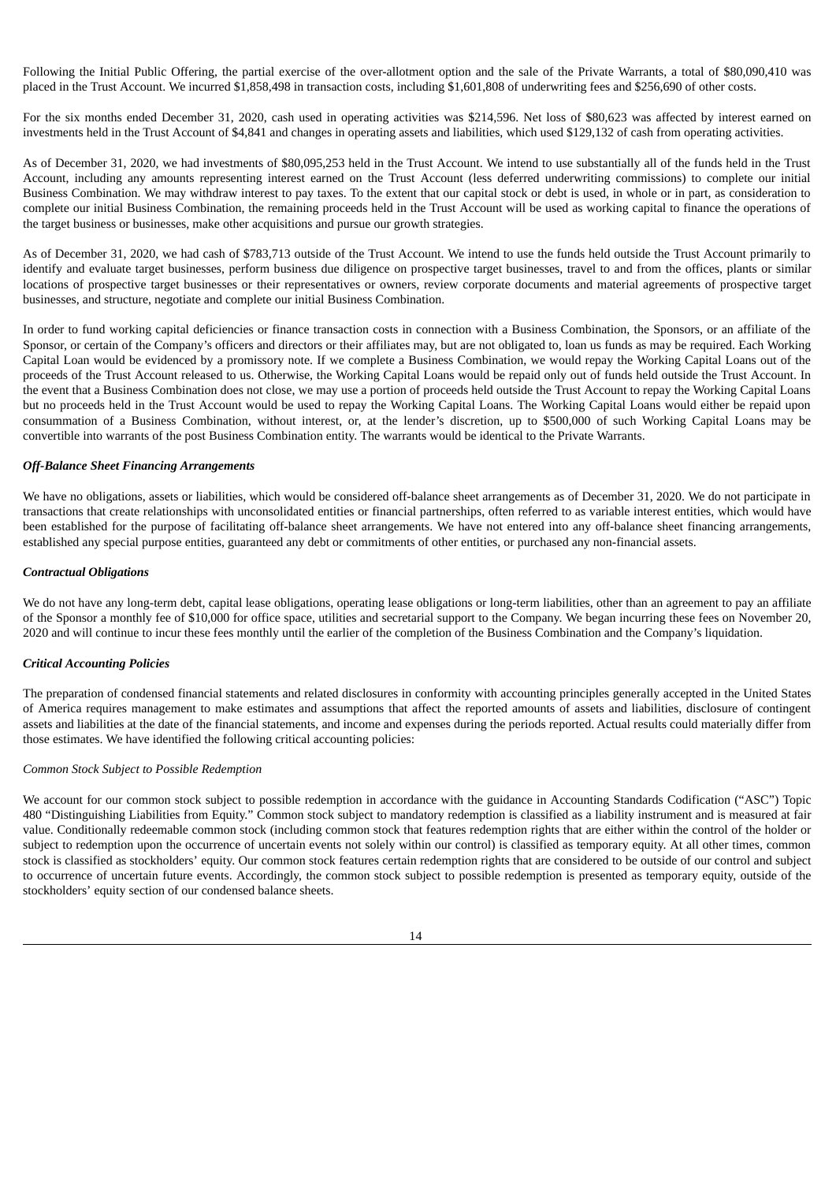Following the Initial Public Offering, the partial exercise of the over-allotment option and the sale of the Private Warrants, a total of \$80,090,410 was placed in the Trust Account. We incurred \$1,858,498 in transaction costs, including \$1,601,808 of underwriting fees and \$256,690 of other costs.

For the six months ended December 31, 2020, cash used in operating activities was \$214,596. Net loss of \$80,623 was affected by interest earned on investments held in the Trust Account of \$4,841 and changes in operating assets and liabilities, which used \$129,132 of cash from operating activities.

As of December 31, 2020, we had investments of \$80,095,253 held in the Trust Account. We intend to use substantially all of the funds held in the Trust Account, including any amounts representing interest earned on the Trust Account (less deferred underwriting commissions) to complete our initial Business Combination. We may withdraw interest to pay taxes. To the extent that our capital stock or debt is used, in whole or in part, as consideration to complete our initial Business Combination, the remaining proceeds held in the Trust Account will be used as working capital to finance the operations of the target business or businesses, make other acquisitions and pursue our growth strategies.

As of December 31, 2020, we had cash of \$783,713 outside of the Trust Account. We intend to use the funds held outside the Trust Account primarily to identify and evaluate target businesses, perform business due diligence on prospective target businesses, travel to and from the offices, plants or similar locations of prospective target businesses or their representatives or owners, review corporate documents and material agreements of prospective target businesses, and structure, negotiate and complete our initial Business Combination.

In order to fund working capital deficiencies or finance transaction costs in connection with a Business Combination, the Sponsors, or an affiliate of the Sponsor, or certain of the Company's officers and directors or their affiliates may, but are not obligated to, loan us funds as may be required. Each Working Capital Loan would be evidenced by a promissory note. If we complete a Business Combination, we would repay the Working Capital Loans out of the proceeds of the Trust Account released to us. Otherwise, the Working Capital Loans would be repaid only out of funds held outside the Trust Account. In the event that a Business Combination does not close, we may use a portion of proceeds held outside the Trust Account to repay the Working Capital Loans but no proceeds held in the Trust Account would be used to repay the Working Capital Loans. The Working Capital Loans would either be repaid upon consummation of a Business Combination, without interest, or, at the lender's discretion, up to \$500,000 of such Working Capital Loans may be convertible into warrants of the post Business Combination entity. The warrants would be identical to the Private Warrants.

# *Off-Balance Sheet Financing Arrangements*

We have no obligations, assets or liabilities, which would be considered off-balance sheet arrangements as of December 31, 2020. We do not participate in transactions that create relationships with unconsolidated entities or financial partnerships, often referred to as variable interest entities, which would have been established for the purpose of facilitating off-balance sheet arrangements. We have not entered into any off-balance sheet financing arrangements, established any special purpose entities, guaranteed any debt or commitments of other entities, or purchased any non-financial assets.

## *Contractual Obligations*

We do not have any long-term debt, capital lease obligations, operating lease obligations or long-term liabilities, other than an agreement to pay an affiliate of the Sponsor a monthly fee of \$10,000 for office space, utilities and secretarial support to the Company. We began incurring these fees on November 20, 2020 and will continue to incur these fees monthly until the earlier of the completion of the Business Combination and the Company's liquidation.

### *Critical Accounting Policies*

The preparation of condensed financial statements and related disclosures in conformity with accounting principles generally accepted in the United States of America requires management to make estimates and assumptions that affect the reported amounts of assets and liabilities, disclosure of contingent assets and liabilities at the date of the financial statements, and income and expenses during the periods reported. Actual results could materially differ from those estimates. We have identified the following critical accounting policies:

### *Common Stock Subject to Possible Redemption*

We account for our common stock subject to possible redemption in accordance with the guidance in Accounting Standards Codification ("ASC") Topic 480 "Distinguishing Liabilities from Equity." Common stock subject to mandatory redemption is classified as a liability instrument and is measured at fair value. Conditionally redeemable common stock (including common stock that features redemption rights that are either within the control of the holder or subject to redemption upon the occurrence of uncertain events not solely within our control) is classified as temporary equity. At all other times, common stock is classified as stockholders' equity. Our common stock features certain redemption rights that are considered to be outside of our control and subject to occurrence of uncertain future events. Accordingly, the common stock subject to possible redemption is presented as temporary equity, outside of the stockholders' equity section of our condensed balance sheets.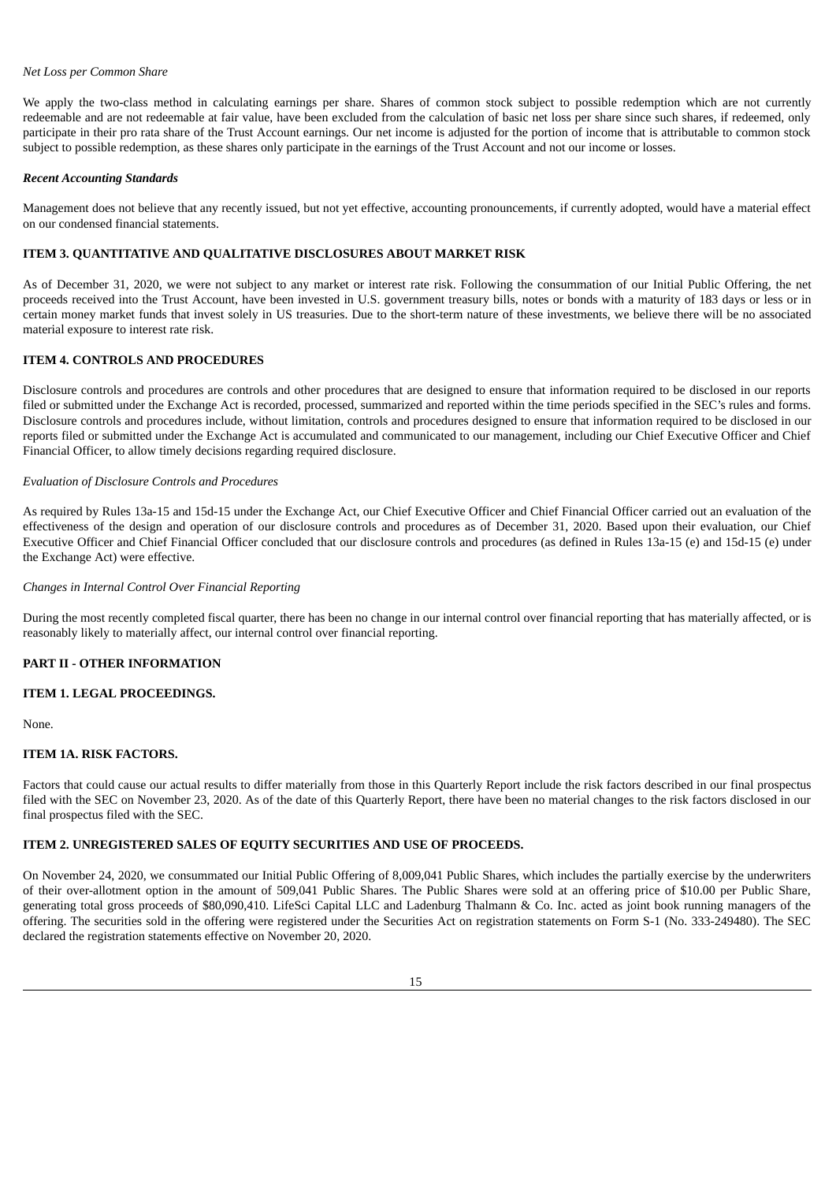## *Net Loss per Common Share*

We apply the two-class method in calculating earnings per share. Shares of common stock subject to possible redemption which are not currently redeemable and are not redeemable at fair value, have been excluded from the calculation of basic net loss per share since such shares, if redeemed, only participate in their pro rata share of the Trust Account earnings. Our net income is adjusted for the portion of income that is attributable to common stock subject to possible redemption, as these shares only participate in the earnings of the Trust Account and not our income or losses.

### *Recent Accounting Standards*

Management does not believe that any recently issued, but not yet effective, accounting pronouncements, if currently adopted, would have a material effect on our condensed financial statements.

# <span id="page-17-0"></span>**ITEM 3. QUANTITATIVE AND QUALITATIVE DISCLOSURES ABOUT MARKET RISK**

As of December 31, 2020, we were not subject to any market or interest rate risk. Following the consummation of our Initial Public Offering, the net proceeds received into the Trust Account, have been invested in U.S. government treasury bills, notes or bonds with a maturity of 183 days or less or in certain money market funds that invest solely in US treasuries. Due to the short-term nature of these investments, we believe there will be no associated material exposure to interest rate risk.

# <span id="page-17-1"></span>**ITEM 4. CONTROLS AND PROCEDURES**

Disclosure controls and procedures are controls and other procedures that are designed to ensure that information required to be disclosed in our reports filed or submitted under the Exchange Act is recorded, processed, summarized and reported within the time periods specified in the SEC's rules and forms. Disclosure controls and procedures include, without limitation, controls and procedures designed to ensure that information required to be disclosed in our reports filed or submitted under the Exchange Act is accumulated and communicated to our management, including our Chief Executive Officer and Chief Financial Officer, to allow timely decisions regarding required disclosure.

#### *Evaluation of Disclosure Controls and Procedures*

As required by Rules 13a-15 and 15d-15 under the Exchange Act, our Chief Executive Officer and Chief Financial Officer carried out an evaluation of the effectiveness of the design and operation of our disclosure controls and procedures as of December 31, 2020. Based upon their evaluation, our Chief Executive Officer and Chief Financial Officer concluded that our disclosure controls and procedures (as defined in Rules 13a-15 (e) and 15d-15 (e) under the Exchange Act) were effective.

#### *Changes in Internal Control Over Financial Reporting*

During the most recently completed fiscal quarter, there has been no change in our internal control over financial reporting that has materially affected, or is reasonably likely to materially affect, our internal control over financial reporting.

# <span id="page-17-2"></span>**PART II - OTHER INFORMATION**

#### <span id="page-17-3"></span>**ITEM 1. LEGAL PROCEEDINGS.**

None.

### <span id="page-17-4"></span>**ITEM 1A. RISK FACTORS.**

Factors that could cause our actual results to differ materially from those in this Quarterly Report include the risk factors described in our final prospectus filed with the SEC on November 23, 2020. As of the date of this Quarterly Report, there have been no material changes to the risk factors disclosed in our final prospectus filed with the SEC.

### <span id="page-17-5"></span>**ITEM 2. UNREGISTERED SALES OF EQUITY SECURITIES AND USE OF PROCEEDS.**

On November 24, 2020, we consummated our Initial Public Offering of 8,009,041 Public Shares, which includes the partially exercise by the underwriters of their over-allotment option in the amount of 509,041 Public Shares. The Public Shares were sold at an offering price of \$10.00 per Public Share, generating total gross proceeds of \$80,090,410. LifeSci Capital LLC and Ladenburg Thalmann & Co. Inc. acted as joint book running managers of the offering. The securities sold in the offering were registered under the Securities Act on registration statements on Form S-1 (No. 333-249480). The SEC declared the registration statements effective on November 20, 2020.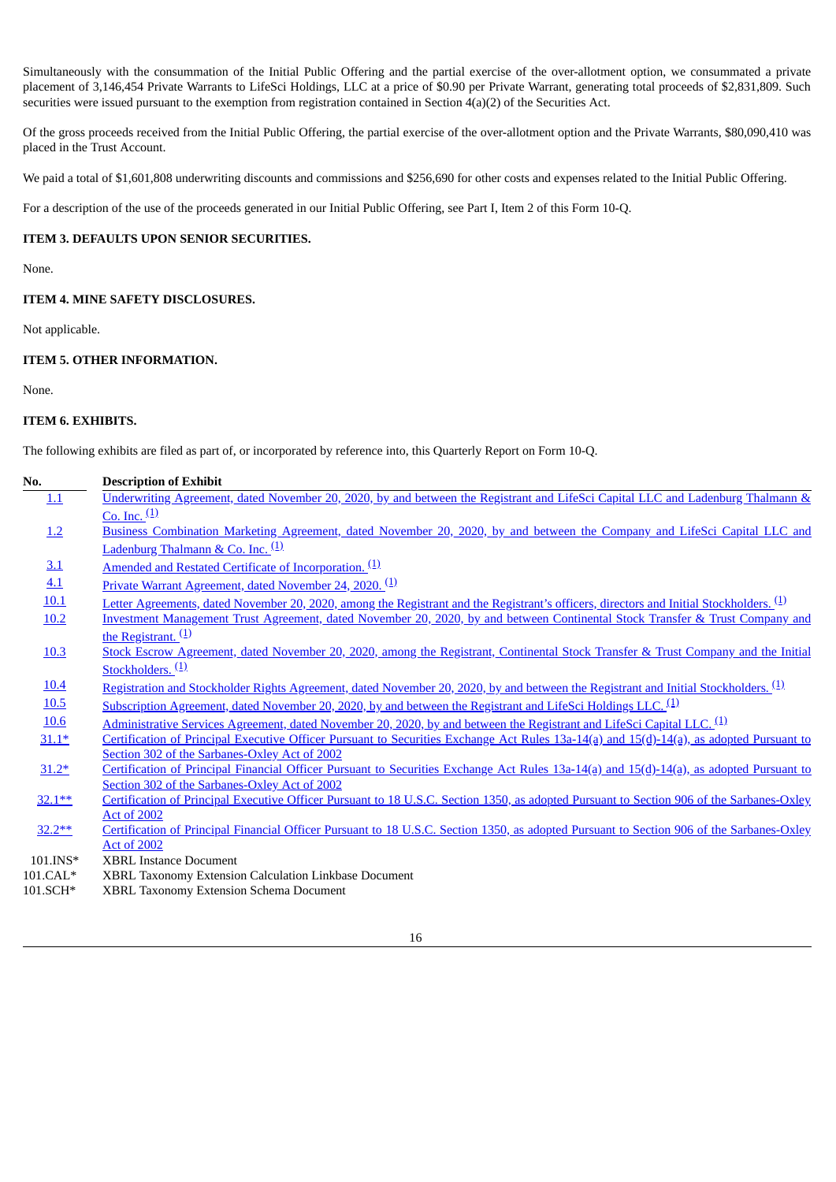Simultaneously with the consummation of the Initial Public Offering and the partial exercise of the over-allotment option, we consummated a private placement of 3,146,454 Private Warrants to LifeSci Holdings, LLC at a price of \$0.90 per Private Warrant, generating total proceeds of \$2,831,809. Such securities were issued pursuant to the exemption from registration contained in Section  $4(a)(2)$  of the Securities Act.

Of the gross proceeds received from the Initial Public Offering, the partial exercise of the over-allotment option and the Private Warrants, \$80,090,410 was placed in the Trust Account.

We paid a total of \$1,601,808 underwriting discounts and commissions and \$256,690 for other costs and expenses related to the Initial Public Offering.

For a description of the use of the proceeds generated in our Initial Public Offering, see Part I, Item 2 of this Form 10-Q.

# <span id="page-18-0"></span>**ITEM 3. DEFAULTS UPON SENIOR SECURITIES.**

None.

## <span id="page-18-1"></span>**ITEM 4. MINE SAFETY DISCLOSURES.**

Not applicable.

# <span id="page-18-2"></span>**ITEM 5. OTHER INFORMATION.**

None.

# <span id="page-18-3"></span>**ITEM 6. EXHIBITS.**

The following exhibits are filed as part of, or incorporated by reference into, this Quarterly Report on Form 10-Q.

| No.         | <b>Description of Exhibit</b>                                                                                                                                   |
|-------------|-----------------------------------------------------------------------------------------------------------------------------------------------------------------|
| 1.1         | Underwriting Agreement, dated November 20, 2020, by and between the Registrant and LifeSci Capital LLC and Ladenburg Thalmann &                                 |
|             | Co. Inc. $(1)$                                                                                                                                                  |
| 1.2         | Business Combination Marketing Agreement, dated November 20, 2020, by and between the Company and LifeSci Capital LLC and                                       |
|             | Ladenburg Thalmann & Co. Inc. (1)                                                                                                                               |
| 3.1         | <u>Amended and Restated Certificate of Incorporation.</u> <sup>(1)</sup>                                                                                        |
| 4.1         | Private Warrant Agreement, dated November 24, 2020. <sup>(1)</sup>                                                                                              |
| 10.1        | Letter Agreements, dated November 20, 2020, among the Registrant and the Registrant's officers, directors and Initial Stockholders. (1)                         |
| 10.2        | Investment Management Trust Agreement, dated November 20, 2020, by and between Continental Stock Transfer & Trust Company and                                   |
|             | the Registrant. $(1)$                                                                                                                                           |
| 10.3        | Stock Escrow Agreement, dated November 20, 2020, among the Registrant, Continental Stock Transfer & Trust Company and the Initial                               |
|             | Stockholders. <sup>(1)</sup>                                                                                                                                    |
| 10.4        | Registration and Stockholder Rights Agreement, dated November 20, 2020, by and between the Registrant and Initial Stockholders. (1)                             |
| <u>10.5</u> | Subscription Agreement, dated November 20, 2020, by and between the Registrant and LifeSci Holdings LLC. <sup>(1)</sup>                                         |
| <u>10.6</u> | Administrative Services Agreement, dated November 20, 2020, by and between the Registrant and LifeSci Capital LLC. <sup>(1)</sup>                               |
| $31.1*$     | Certification of Principal Executive Officer Pursuant to Securities Exchange Act Rules 13a-14(a) and 15(d)-14(a), as adopted Pursuant to                        |
|             | Section 302 of the Sarbanes-Oxley Act of 2002                                                                                                                   |
| $31.2*$     | Certification of Principal Financial Officer Pursuant to Securities Exchange Act Rules 13a-14(a) and 15(d)-14(a), as adopted Pursuant to                        |
|             | Section 302 of the Sarbanes-Oxley Act of 2002                                                                                                                   |
| $32.1**$    | Certification of Principal Executive Officer Pursuant to 18 U.S.C. Section 1350, as adopted Pursuant to Section 906 of the Sarbanes-Oxley<br><b>Act of 2002</b> |
| $32.2**$    | Certification of Principal Financial Officer Pursuant to 18 U.S.C. Section 1350, as adopted Pursuant to Section 906 of the Sarbanes-Oxley                       |
|             | <b>Act of 2002</b>                                                                                                                                              |
| $101.INS*$  | <b>XBRL Instance Document</b>                                                                                                                                   |
| $101.CAL*$  | XBRL Taxonomy Extension Calculation Linkbase Document                                                                                                           |
| 101.SCH*    | XBRL Taxonomy Extension Schema Document                                                                                                                         |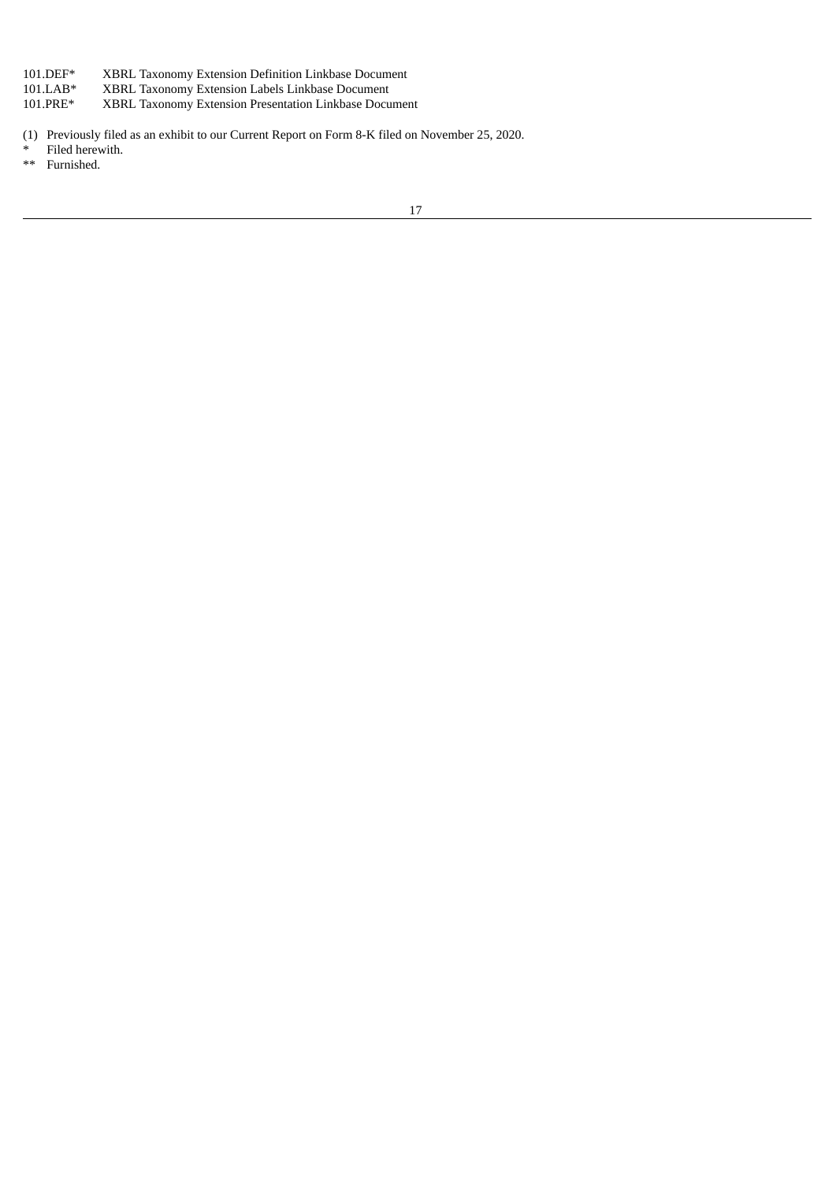- 101.DEF\* XBRL Taxonomy Extension Definition Linkbase Document
- 101.LAB\* XBRL Taxonomy Extension Labels Linkbase Document<br>101.PRE\* XBRL Taxonomy Extension Presentation Linkbase Docu
- XBRL Taxonomy Extension Presentation Linkbase Document
- (1) Previously filed as an exhibit to our Current Report on Form 8-K filed on November 25, 2020.
- Filed herewith.
- \*\* Furnished.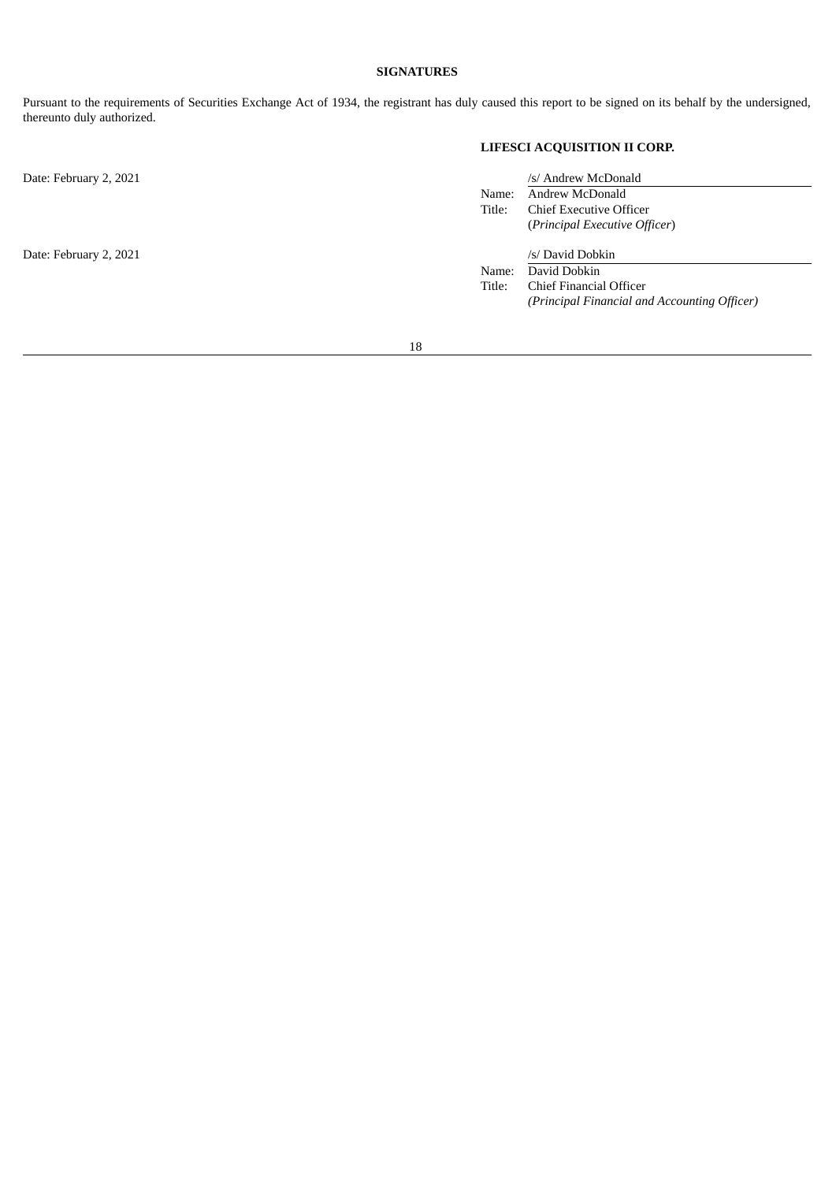# **SIGNATURES**

<span id="page-20-0"></span>Pursuant to the requirements of Securities Exchange Act of 1934, the registrant has duly caused this report to be signed on its behalf by the undersigned, thereunto duly authorized.

# **LIFESCI ACQUISITION II CORP.**

| Date: February 2, 2021 |        | /s/ Andrew McDonald                          |  |  |  |  |
|------------------------|--------|----------------------------------------------|--|--|--|--|
|                        | Name:  | Andrew McDonald                              |  |  |  |  |
|                        | Title: | <b>Chief Executive Officer</b>               |  |  |  |  |
|                        |        | (Principal Executive Officer)                |  |  |  |  |
| Date: February 2, 2021 |        | /s/ David Dobkin                             |  |  |  |  |
|                        | Name:  | David Dobkin                                 |  |  |  |  |
|                        | Title: | Chief Financial Officer                      |  |  |  |  |
|                        |        | (Principal Financial and Accounting Officer) |  |  |  |  |
|                        |        |                                              |  |  |  |  |
|                        |        |                                              |  |  |  |  |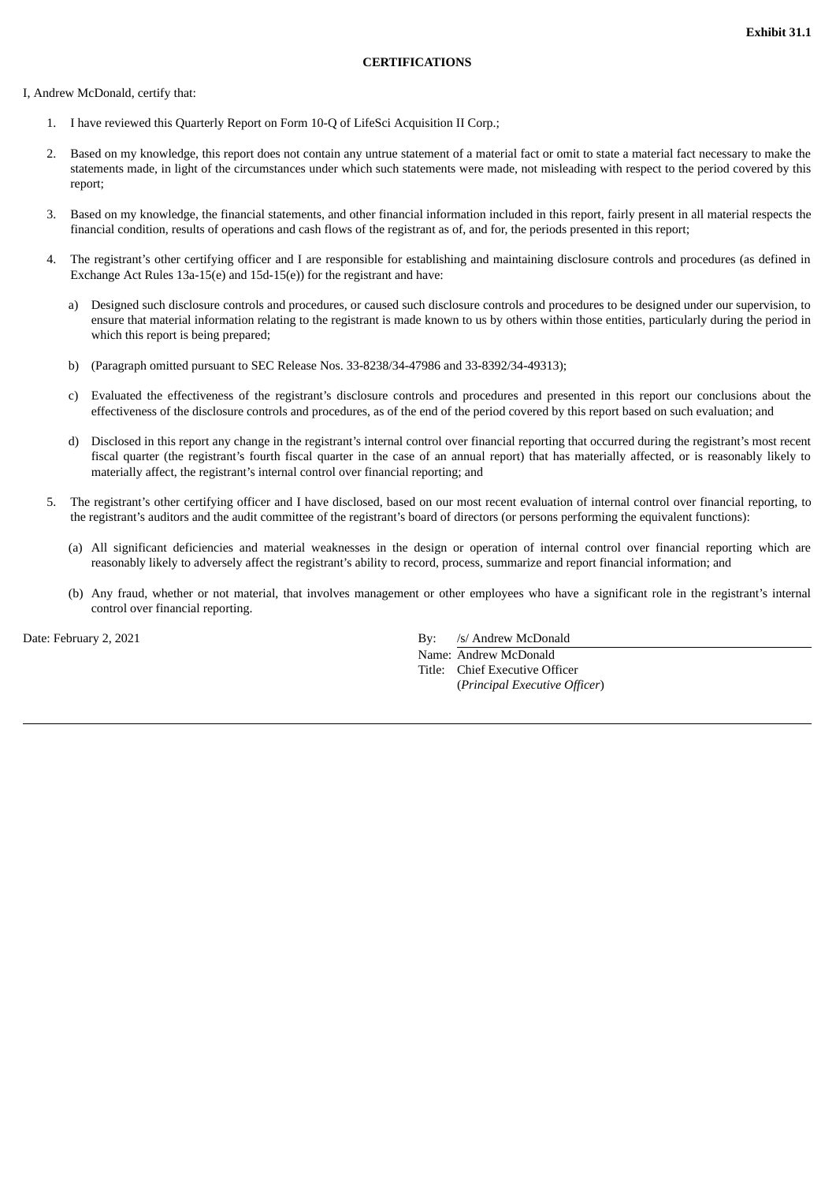<span id="page-21-0"></span>I, Andrew McDonald, certify that:

- 1. I have reviewed this Quarterly Report on Form 10-Q of LifeSci Acquisition II Corp.;
- 2. Based on my knowledge, this report does not contain any untrue statement of a material fact or omit to state a material fact necessary to make the statements made, in light of the circumstances under which such statements were made, not misleading with respect to the period covered by this report;
- 3. Based on my knowledge, the financial statements, and other financial information included in this report, fairly present in all material respects the financial condition, results of operations and cash flows of the registrant as of, and for, the periods presented in this report;
- 4. The registrant's other certifying officer and I are responsible for establishing and maintaining disclosure controls and procedures (as defined in Exchange Act Rules 13a-15(e) and 15d-15(e)) for the registrant and have:
	- a) Designed such disclosure controls and procedures, or caused such disclosure controls and procedures to be designed under our supervision, to ensure that material information relating to the registrant is made known to us by others within those entities, particularly during the period in which this report is being prepared;
	- b) (Paragraph omitted pursuant to SEC Release Nos. 33-8238/34-47986 and 33-8392/34-49313);
	- c) Evaluated the effectiveness of the registrant's disclosure controls and procedures and presented in this report our conclusions about the effectiveness of the disclosure controls and procedures, as of the end of the period covered by this report based on such evaluation; and
	- d) Disclosed in this report any change in the registrant's internal control over financial reporting that occurred during the registrant's most recent fiscal quarter (the registrant's fourth fiscal quarter in the case of an annual report) that has materially affected, or is reasonably likely to materially affect, the registrant's internal control over financial reporting; and
- 5. The registrant's other certifying officer and I have disclosed, based on our most recent evaluation of internal control over financial reporting, to the registrant's auditors and the audit committee of the registrant's board of directors (or persons performing the equivalent functions):
	- (a) All significant deficiencies and material weaknesses in the design or operation of internal control over financial reporting which are reasonably likely to adversely affect the registrant's ability to record, process, summarize and report financial information; and
	- (b) Any fraud, whether or not material, that involves management or other employees who have a significant role in the registrant's internal control over financial reporting.

Date: February 2, 2021 **By:** /s/ Andrew McDonald Name: Andrew McDonald Title: Chief Executive Officer (*Principal Executive Officer*)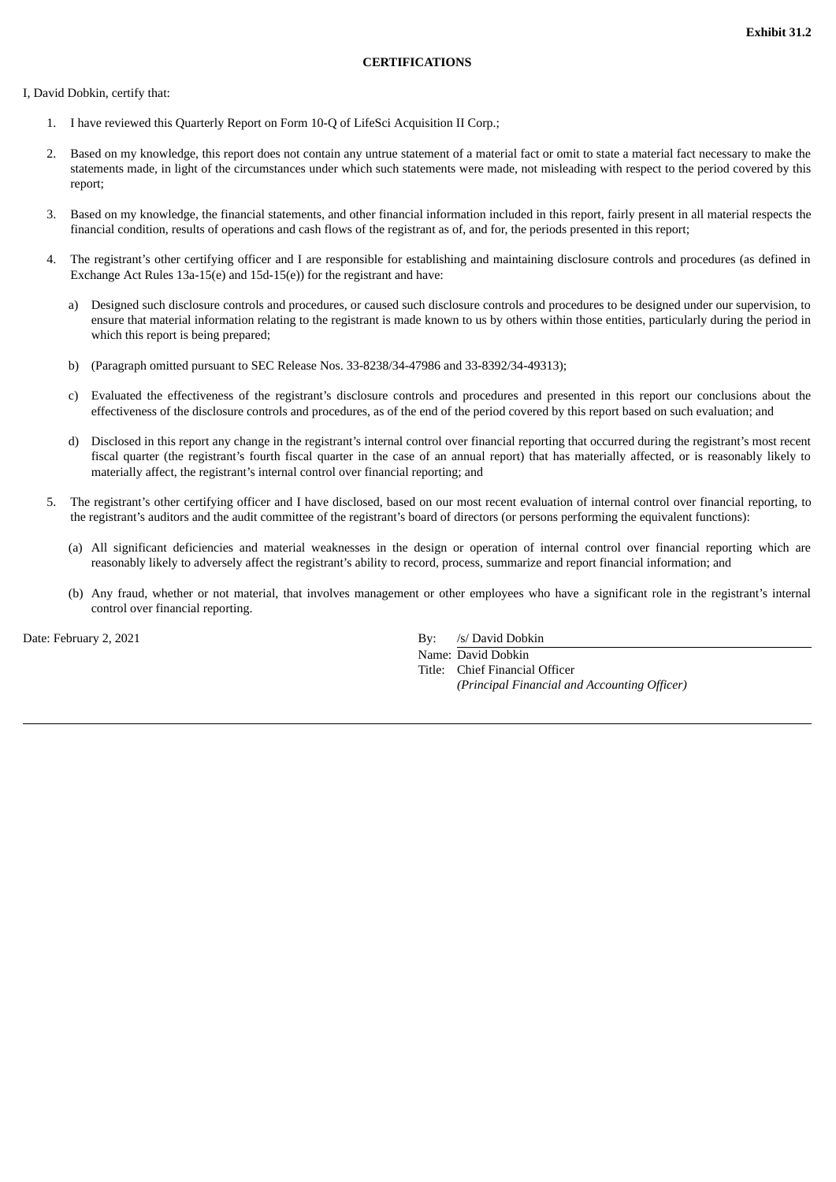<span id="page-22-0"></span>I, David Dobkin, certify that:

- 1. I have reviewed this Quarterly Report on Form 10-Q of LifeSci Acquisition II Corp.;
- 2. Based on my knowledge, this report does not contain any untrue statement of a material fact or omit to state a material fact necessary to make the statements made, in light of the circumstances under which such statements were made, not misleading with respect to the period covered by this report;
- 3. Based on my knowledge, the financial statements, and other financial information included in this report, fairly present in all material respects the financial condition, results of operations and cash flows of the registrant as of, and for, the periods presented in this report;
- 4. The registrant's other certifying officer and I are responsible for establishing and maintaining disclosure controls and procedures (as defined in Exchange Act Rules 13a-15(e) and 15d-15(e)) for the registrant and have:
	- a) Designed such disclosure controls and procedures, or caused such disclosure controls and procedures to be designed under our supervision, to ensure that material information relating to the registrant is made known to us by others within those entities, particularly during the period in which this report is being prepared;
	- b) (Paragraph omitted pursuant to SEC Release Nos. 33-8238/34-47986 and 33-8392/34-49313);
	- c) Evaluated the effectiveness of the registrant's disclosure controls and procedures and presented in this report our conclusions about the effectiveness of the disclosure controls and procedures, as of the end of the period covered by this report based on such evaluation; and
	- d) Disclosed in this report any change in the registrant's internal control over financial reporting that occurred during the registrant's most recent fiscal quarter (the registrant's fourth fiscal quarter in the case of an annual report) that has materially affected, or is reasonably likely to materially affect, the registrant's internal control over financial reporting; and
- 5. The registrant's other certifying officer and I have disclosed, based on our most recent evaluation of internal control over financial reporting, to the registrant's auditors and the audit committee of the registrant's board of directors (or persons performing the equivalent functions):
	- (a) All significant deficiencies and material weaknesses in the design or operation of internal control over financial reporting which are reasonably likely to adversely affect the registrant's ability to record, process, summarize and report financial information; and
	- (b) Any fraud, whether or not material, that involves management or other employees who have a significant role in the registrant's internal control over financial reporting.

Date: February 2, 2021 **By:** /s/ David Dobkin

Name: David Dobkin Title: Chief Financial Officer *(Principal Financial and Accounting Officer)*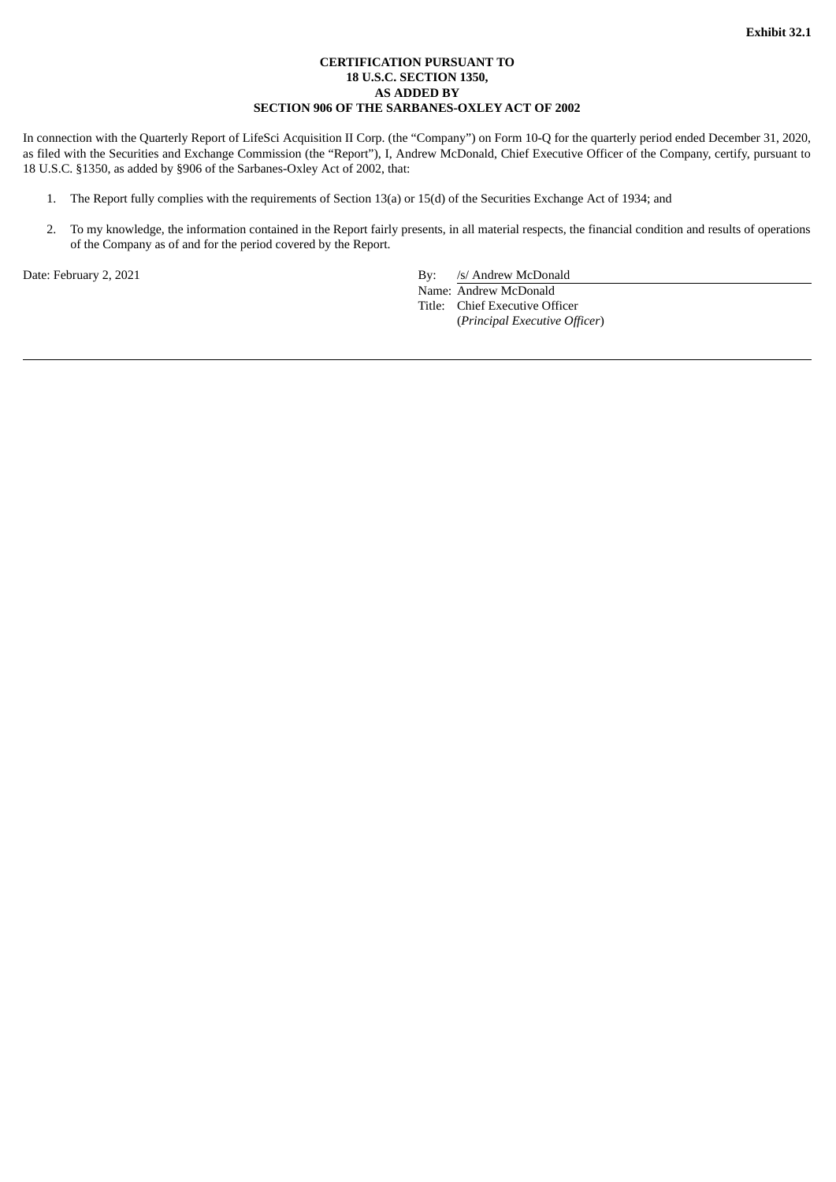# **CERTIFICATION PURSUANT TO 18 U.S.C. SECTION 1350, AS ADDED BY SECTION 906 OF THE SARBANES-OXLEY ACT OF 2002**

<span id="page-23-0"></span>In connection with the Quarterly Report of LifeSci Acquisition II Corp. (the "Company") on Form 10-Q for the quarterly period ended December 31, 2020, as filed with the Securities and Exchange Commission (the "Report"), I, Andrew McDonald, Chief Executive Officer of the Company, certify, pursuant to 18 U.S.C. §1350, as added by §906 of the Sarbanes-Oxley Act of 2002, that:

- 1. The Report fully complies with the requirements of Section 13(a) or 15(d) of the Securities Exchange Act of 1934; and
- 2. To my knowledge, the information contained in the Report fairly presents, in all material respects, the financial condition and results of operations of the Company as of and for the period covered by the Report.

Date: February 2, 2021 **By:** /s/ Andrew McDonald

Name: Andrew McDonald

Title: Chief Executive Officer (*Principal Executive Officer*)